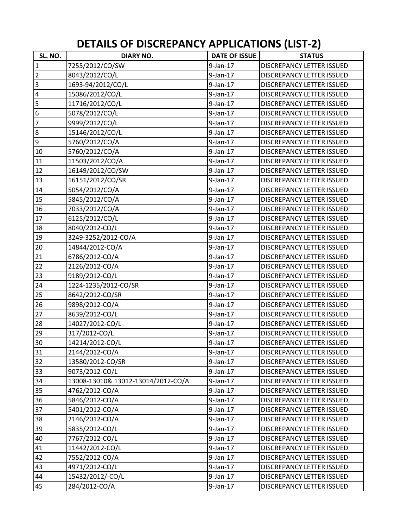| SL. NO.        | <b>DIARY NO.</b>                   | <b>DATE OF ISSUE</b> | <b>STATUS</b>                    |
|----------------|------------------------------------|----------------------|----------------------------------|
| $\mathbf{1}$   | 7255/2012/CO/SW                    | $9$ -Jan-17          | <b>DISCREPANCY LETTER ISSUED</b> |
| $\overline{c}$ | 8043/2012/CO/L                     | 9-Jan-17             | DISCREPANCY LETTER ISSUED        |
| $\overline{3}$ | 1693-94/2012/CO/L                  | $9$ -Jan-17          | <b>DISCREPANCY LETTER ISSUED</b> |
| $\overline{a}$ | 15086/2012/CO/L                    | $9$ -Jan-17          | <b>DISCREPANCY LETTER ISSUED</b> |
| $\overline{5}$ | 11716/2012/CO/L                    | $9$ -Jan-17          | DISCREPANCY LETTER ISSUED        |
| $\overline{6}$ | 5078/2012/CO/L                     | $9$ -Jan-17          | DISCREPANCY LETTER ISSUED        |
| $\overline{7}$ | 9999/2012/CO/L                     | $9$ -Jan-17          | <b>DISCREPANCY LETTER ISSUED</b> |
| $\overline{8}$ | 15146/2012/CO/L                    | $9$ -Jan-17          | <b>DISCREPANCY LETTER ISSUED</b> |
| $\overline{9}$ | 5760/2012/CO/A                     | $9$ -Jan-17          | <b>DISCREPANCY LETTER ISSUED</b> |
| 10             | 5760/2012/CO/A                     | $9$ -Jan-17          | DISCREPANCY LETTER ISSUED        |
| 11             | 11503/2012/CO/A                    | $9$ -Jan-17          | DISCREPANCY LETTER ISSUED        |
| 12             | 16149/2012/CO/SW                   | $9$ -Jan-17          | DISCREPANCY LETTER ISSUED        |
| 13             | 16151/2012/CO/SR                   | $9$ -Jan-17          | <b>DISCREPANCY LETTER ISSUED</b> |
|                |                                    |                      |                                  |
| 14             | 5054/2012/CO/A                     | $9$ -Jan-17          | DISCREPANCY LETTER ISSUED        |
| 15             | 5845/2012/CO/A                     | $9$ -Jan-17          | DISCREPANCY LETTER ISSUED        |
| 16             | 7033/2012/CO/A                     | $9$ -Jan-17          | DISCREPANCY LETTER ISSUED        |
| 17             | 6125/2012/CO/L                     | $9$ -Jan-17          | <b>DISCREPANCY LETTER ISSUED</b> |
| 18             | 8040/2012-CO/L                     | $9$ -Jan-17          | <b>DISCREPANCY LETTER ISSUED</b> |
| 19             | 3249-3252/2012-CO/A                | $9$ -Jan-17          | DISCREPANCY LETTER ISSUED        |
| 20             | 14844/2012-CO/A                    | $9$ -Jan-17          | DISCREPANCY LETTER ISSUED        |
| 21             | 6786/2012-CO/A                     | $9$ -Jan-17          | DISCREPANCY LETTER ISSUED        |
| 22             | 2126/2012-CO/A                     | $9$ -Jan-17          | DISCREPANCY LETTER ISSUED        |
| 23             | 9189/2012-CO/L                     | $9$ -Jan-17          | DISCREPANCY LETTER ISSUED        |
| 24             | 1224-1235/2012-CO/SR               | $9$ -Jan-17          | <b>DISCREPANCY LETTER ISSUED</b> |
| 25             | 8642/2012-CO/SR                    | $9$ -Jan-17          | DISCREPANCY LETTER ISSUED        |
| 26             | 9898/2012-CO/A                     | $9$ -Jan-17          | <b>DISCREPANCY LETTER ISSUED</b> |
| 27             | 8639/2012-CO/L                     | $9$ -Jan-17          | <b>DISCREPANCY LETTER ISSUED</b> |
| 28             | 14027/2012-CO/L                    | $9$ -Jan-17          | DISCREPANCY LETTER ISSUED        |
| 29             | 317/2012-CO/L                      | $9$ -Jan-17          | <b>DISCREPANCY LETTER ISSUED</b> |
| 30             | 14214/2012-CO/L                    | $9$ -Jan-17          | DISCREPANCY LETTER ISSUED        |
| 31             | 2144/2012-CO/A                     | $9$ -Jan-17          | DISCREPANCY LETTER ISSUED        |
| 32             | 13580/2012-CO/SR                   | $9$ -Jan-17          | DISCREPANCY LETTER ISSUED        |
| 33             | 9073/2012-CO/L                     | $9$ -Jan-17          | DISCREPANCY LETTER ISSUED        |
| 34             | 13008-13010& 13012-13014/2012-CO/A | 9-Jan-17             | DISCREPANCY LETTER ISSUED        |
| 35             | 4762/2012-CO/A                     | $9$ -Jan-17          | DISCREPANCY LETTER ISSUED        |
| 36             | 5846/2012-CO/A                     | $9$ -Jan-17          | DISCREPANCY LETTER ISSUED        |
| 37             | 5401/2012-CO/A                     | $9$ -Jan-17          | DISCREPANCY LETTER ISSUED        |
| 38             | 2146/2012-CO/A                     | $9$ -Jan-17          | DISCREPANCY LETTER ISSUED        |
| 39             | 5835/2012-CO/L                     | $9$ -Jan-17          | DISCREPANCY LETTER ISSUED        |
| 40             | 7767/2012-CO/L                     | $9$ -Jan-17          | DISCREPANCY LETTER ISSUED        |
| 41             | 11442/2012-CO/L                    | $9$ -Jan-17          | DISCREPANCY LETTER ISSUED        |
|                |                                    |                      |                                  |
| 42             | 7552/2012-CO/A                     | $9$ -Jan-17          | DISCREPANCY LETTER ISSUED        |
| 43             | 4971/2012-CO/L                     | $9$ -Jan-17          | DISCREPANCY LETTER ISSUED        |
| 44             | 15432/2012/-CO/L                   | $9$ -Jan-17          | DISCREPANCY LETTER ISSUED        |
| 45             | 284/2012-CO/A                      | $9$ -Jan-17          | DISCREPANCY LETTER ISSUED        |

## **DETAILS OF DISCREPANCY APPLICATIONS (LIST‐2)**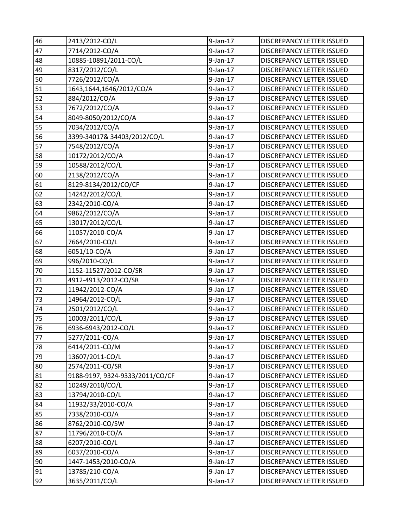| 46 | 2413/2012-CO/L                  | $9$ -Jan-17 | <b>DISCREPANCY LETTER ISSUED</b> |
|----|---------------------------------|-------------|----------------------------------|
| 47 | 7714/2012-CO/A                  | $9$ -Jan-17 | DISCREPANCY LETTER ISSUED        |
| 48 | 10885-10891/2011-CO/L           | $9$ -Jan-17 | DISCREPANCY LETTER ISSUED        |
| 49 | 8317/2012/CO/L                  | $9$ -Jan-17 | DISCREPANCY LETTER ISSUED        |
| 50 | 7726/2012/CO/A                  | $9$ -Jan-17 | DISCREPANCY LETTER ISSUED        |
| 51 | 1643,1644,1646/2012/CO/A        | $9$ -Jan-17 | DISCREPANCY LETTER ISSUED        |
| 52 | 884/2012/CO/A                   | $9$ -Jan-17 | DISCREPANCY LETTER ISSUED        |
| 53 | 7672/2012/CO/A                  | $9$ -Jan-17 | DISCREPANCY LETTER ISSUED        |
| 54 | 8049-8050/2012/CO/A             | $9$ -Jan-17 | DISCREPANCY LETTER ISSUED        |
| 55 | 7034/2012/CO/A                  | $9$ -Jan-17 | DISCREPANCY LETTER ISSUED        |
| 56 | 3399-34017& 34403/2012/CO/L     | $9$ -Jan-17 | DISCREPANCY LETTER ISSUED        |
| 57 | 7548/2012/CO/A                  | $9$ -Jan-17 | DISCREPANCY LETTER ISSUED        |
| 58 | 10172/2012/CO/A                 | $9$ -Jan-17 | DISCREPANCY LETTER ISSUED        |
| 59 | 10588/2012/CO/L                 | $9$ -Jan-17 | DISCREPANCY LETTER ISSUED        |
| 60 | 2138/2012/CO/A                  | $9$ -Jan-17 | DISCREPANCY LETTER ISSUED        |
| 61 | 8129-8134/2012/CO/CF            | $9$ -Jan-17 | DISCREPANCY LETTER ISSUED        |
| 62 | 14242/2012/CO/L                 | $9$ -Jan-17 | DISCREPANCY LETTER ISSUED        |
| 63 | 2342/2010-CO/A                  | $9$ -Jan-17 | DISCREPANCY LETTER ISSUED        |
| 64 | 9862/2012/CO/A                  | $9$ -Jan-17 | DISCREPANCY LETTER ISSUED        |
| 65 | 13017/2012/CO/L                 | $9$ -Jan-17 | <b>DISCREPANCY LETTER ISSUED</b> |
| 66 | 11057/2010-CO/A                 | $9$ -Jan-17 | DISCREPANCY LETTER ISSUED        |
| 67 | 7664/2010-CO/L                  | $9$ -Jan-17 | DISCREPANCY LETTER ISSUED        |
| 68 | 6051/10-CO/A                    | 9-Jan-17    | DISCREPANCY LETTER ISSUED        |
| 69 | 996/2010-CO/L                   | $9$ -Jan-17 | DISCREPANCY LETTER ISSUED        |
| 70 | 1152-11527/2012-CO/SR           | $9$ -Jan-17 | DISCREPANCY LETTER ISSUED        |
| 71 | 4912-4913/2012-CO/SR            | $9$ -Jan-17 | DISCREPANCY LETTER ISSUED        |
| 72 | 11942/2012-CO/A                 | $9$ -Jan-17 | DISCREPANCY LETTER ISSUED        |
| 73 | 14964/2012-CO/L                 | $9$ -Jan-17 | DISCREPANCY LETTER ISSUED        |
| 74 | 2501/2012/CO/L                  | $9$ -Jan-17 | DISCREPANCY LETTER ISSUED        |
| 75 | 10003/2011/CO/L                 | $9$ -Jan-17 | <b>DISCREPANCY LETTER ISSUED</b> |
| 76 | 6936-6943/2012-CO/L             | $9$ -Jan-17 | DISCREPANCY LETTER ISSUED        |
| 77 | 5277/2011-CO/A                  | 9-Jan-17    | DISCREPANCY LETTER ISSUED        |
| 78 | 6414/2011-CO/M                  | $9$ -Jan-17 | DISCREPANCY LETTER ISSUED        |
| 79 | 13607/2011-CO/L                 | 9-Jan-17    | DISCREPANCY LETTER ISSUED        |
| 80 | 2574/2011-CO/SR                 | 9-Jan-17    | <b>DISCREPANCY LETTER ISSUED</b> |
| 81 | 9188-9197, 9324-9333/2011/CO/CF | $9$ -Jan-17 | DISCREPANCY LETTER ISSUED        |
| 82 | 10249/2010/CO/L                 | $9$ -Jan-17 | <b>DISCREPANCY LETTER ISSUED</b> |
| 83 | 13794/2010-CO/L                 | $9$ -Jan-17 | DISCREPANCY LETTER ISSUED        |
| 84 | 11932/33/2010-CO/A              | $9$ -Jan-17 | <b>DISCREPANCY LETTER ISSUED</b> |
| 85 | 7338/2010-CO/A                  | $9$ -Jan-17 | DISCREPANCY LETTER ISSUED        |
| 86 | 8762/2010-CO/SW                 | $9$ -Jan-17 | DISCREPANCY LETTER ISSUED        |
| 87 | 11796/2010-CO/A                 | $9$ -Jan-17 | DISCREPANCY LETTER ISSUED        |
| 88 | 6207/2010-CO/L                  | $9$ -Jan-17 | DISCREPANCY LETTER ISSUED        |
| 89 | 6037/2010-CO/A                  | $9$ -Jan-17 | DISCREPANCY LETTER ISSUED        |
| 90 | 1447-1453/2010-CO/A             | $9$ -Jan-17 | DISCREPANCY LETTER ISSUED        |
| 91 | 13785/210-CO/A                  | $9$ -Jan-17 | DISCREPANCY LETTER ISSUED        |
| 92 | 3635/2011/CO/L                  | $9$ -Jan-17 | DISCREPANCY LETTER ISSUED        |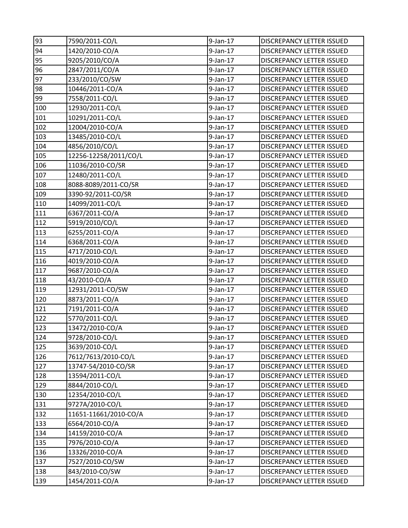| 93  | 7590/2011-CO/L        | $9$ -Jan-17 | DISCREPANCY LETTER ISSUED        |
|-----|-----------------------|-------------|----------------------------------|
| 94  | 1420/2010-CO/A        | $9$ -Jan-17 | <b>DISCREPANCY LETTER ISSUED</b> |
| 95  | 9205/2010/CO/A        | $9$ -Jan-17 | <b>DISCREPANCY LETTER ISSUED</b> |
| 96  | 2847/2011/CO/A        | 9-Jan-17    | DISCREPANCY LETTER ISSUED        |
| 97  | 233/2010/CO/SW        | $9$ -Jan-17 | DISCREPANCY LETTER ISSUED        |
| 98  | 10446/2011-CO/A       | $9$ -Jan-17 | DISCREPANCY LETTER ISSUED        |
| 99  | 7558/2011-CO/L        | $9$ -Jan-17 | DISCREPANCY LETTER ISSUED        |
| 100 | 12930/2011-CO/L       | $9$ -Jan-17 | DISCREPANCY LETTER ISSUED        |
| 101 | 10291/2011-CO/L       | $9$ -Jan-17 | DISCREPANCY LETTER ISSUED        |
| 102 | 12004/2010-CO/A       | $9$ -Jan-17 | DISCREPANCY LETTER ISSUED        |
| 103 | 13485/2010-CO/L       | 9-Jan-17    | <b>DISCREPANCY LETTER ISSUED</b> |
| 104 | 4856/2010/CO/L        | 9-Jan-17    | DISCREPANCY LETTER ISSUED        |
| 105 | 12256-12258/2011/CO/L | $9$ -Jan-17 | DISCREPANCY LETTER ISSUED        |
| 106 | 11036/2010-CO/SR      | 9-Jan-17    | DISCREPANCY LETTER ISSUED        |
| 107 | 12480/2011-CO/L       | $9$ -Jan-17 | DISCREPANCY LETTER ISSUED        |
| 108 | 8088-8089/2011-CO/SR  | $9$ -Jan-17 | <b>DISCREPANCY LETTER ISSUED</b> |
| 109 | 3390-92/2011-CO/SR    | 9-Jan-17    | <b>DISCREPANCY LETTER ISSUED</b> |
| 110 | 14099/2011-CO/L       | 9-Jan-17    | DISCREPANCY LETTER ISSUED        |
| 111 | 6367/2011-CO/A        | $9$ -Jan-17 | DISCREPANCY LETTER ISSUED        |
| 112 | 5919/2010/CO/L        | $9$ -Jan-17 | DISCREPANCY LETTER ISSUED        |
| 113 | 6255/2011-CO/A        | $9$ -Jan-17 | DISCREPANCY LETTER ISSUED        |
| 114 | 6368/2011-CO/A        | 9-Jan-17    | DISCREPANCY LETTER ISSUED        |
| 115 | 4717/2010-CO/L        | $9$ -Jan-17 | DISCREPANCY LETTER ISSUED        |
| 116 | 4019/2010-CO/A        | $9$ -Jan-17 | DISCREPANCY LETTER ISSUED        |
| 117 | 9687/2010-CO/A        | $9$ -Jan-17 | DISCREPANCY LETTER ISSUED        |
| 118 | 43/2010-CO/A          | $9$ -Jan-17 | <b>DISCREPANCY LETTER ISSUED</b> |
| 119 | 12931/2011-CO/SW      | 9-Jan-17    | <b>DISCREPANCY LETTER ISSUED</b> |
| 120 | 8873/2011-CO/A        | 9-Jan-17    | DISCREPANCY LETTER ISSUED        |
| 121 | 7191/2011-CO/A        | $9$ -Jan-17 | DISCREPANCY LETTER ISSUED        |
| 122 | 5770/2011-CO/L        | $9$ -Jan-17 | DISCREPANCY LETTER ISSUED        |
| 123 | 13472/2010-CO/A       | $9$ -Jan-17 | DISCREPANCY LETTER ISSUED        |
| 124 | 9728/2010-CO/L        | 9-Jan-17    | DISCREPANCY LETTER ISSUED        |
| 125 | 3639/2010-CO/L        | 9-Jan-17    | <b>DISCREPANCY LETTER ISSUED</b> |
| 126 | 7612/7613/2010-CO/L   | $9$ -Jan-17 | DISCREPANCY LETTER ISSUED        |
| 127 | 13747-54/2010-CO/SR   | 9-Jan-17    | DISCREPANCY LETTER ISSUED        |
| 128 | 13594/2011-CO/L       | 9-Jan-17    | DISCREPANCY LETTER ISSUED        |
| 129 | 8844/2010-CO/L        | 9-Jan-17    | DISCREPANCY LETTER ISSUED        |
| 130 | 12354/2010-CO/L       | $9$ -Jan-17 | <b>DISCREPANCY LETTER ISSUED</b> |
| 131 | 9727A/2010-CO/L       | $9$ -Jan-17 | DISCREPANCY LETTER ISSUED        |
| 132 | 11651-11661/2010-CO/A | 9-Jan-17    | DISCREPANCY LETTER ISSUED        |
| 133 | 6564/2010-CO/A        | 9-Jan-17    | DISCREPANCY LETTER ISSUED        |
| 134 | 14159/2010-CO/A       | $9$ -Jan-17 | DISCREPANCY LETTER ISSUED        |
| 135 | 7976/2010-CO/A        | $9$ -Jan-17 | DISCREPANCY LETTER ISSUED        |
| 136 | 13326/2010-CO/A       | $9$ -Jan-17 | DISCREPANCY LETTER ISSUED        |
| 137 | 7527/2010-CO/SW       | 9-Jan-17    | DISCREPANCY LETTER ISSUED        |
| 138 | 843/2010-CO/SW        | $9$ -Jan-17 | DISCREPANCY LETTER ISSUED        |
| 139 | 1454/2011-CO/A        | 9-Jan-17    | DISCREPANCY LETTER ISSUED        |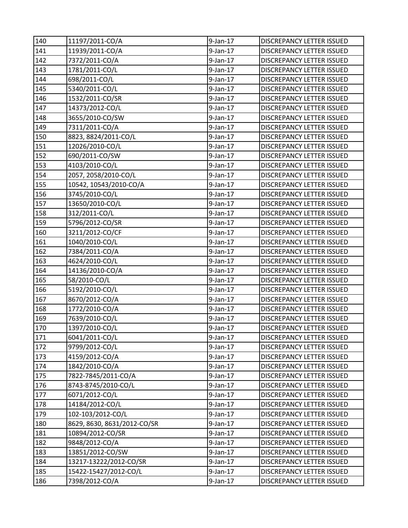| 140 | 11197/2011-CO/A             | $9$ -Jan-17 | DISCREPANCY LETTER ISSUED        |
|-----|-----------------------------|-------------|----------------------------------|
| 141 | 11939/2011-CO/A             | $9$ -Jan-17 | <b>DISCREPANCY LETTER ISSUED</b> |
| 142 | 7372/2011-CO/A              | $9$ -Jan-17 | <b>DISCREPANCY LETTER ISSUED</b> |
| 143 | 1781/2011-CO/L              | $9$ -Jan-17 | DISCREPANCY LETTER ISSUED        |
| 144 | 698/2011-CO/L               | $9$ -Jan-17 | DISCREPANCY LETTER ISSUED        |
| 145 | 5340/2011-CO/L              | $9$ -Jan-17 | DISCREPANCY LETTER ISSUED        |
| 146 | 1532/2011-CO/SR             | $9$ -Jan-17 | <b>DISCREPANCY LETTER ISSUED</b> |
| 147 | 14373/2012-CO/L             | $9$ -Jan-17 | <b>DISCREPANCY LETTER ISSUED</b> |
| 148 | 3655/2010-CO/SW             | $9$ -Jan-17 | DISCREPANCY LETTER ISSUED        |
| 149 | 7311/2011-CO/A              | $9$ -Jan-17 | <b>DISCREPANCY LETTER ISSUED</b> |
| 150 | 8823, 8824/2011-CO/L        | $9$ -Jan-17 | <b>DISCREPANCY LETTER ISSUED</b> |
| 151 | 12026/2010-CO/L             | $9$ -Jan-17 | <b>DISCREPANCY LETTER ISSUED</b> |
| 152 | 690/2011-CO/SW              | $9$ -Jan-17 | <b>DISCREPANCY LETTER ISSUED</b> |
| 153 | 4103/2010-CO/L              | $9$ -Jan-17 | DISCREPANCY LETTER ISSUED        |
| 154 | 2057, 2058/2010-CO/L        | $9$ -Jan-17 | DISCREPANCY LETTER ISSUED        |
| 155 | 10542, 10543/2010-CO/A      | $9$ -Jan-17 | <b>DISCREPANCY LETTER ISSUED</b> |
| 156 | 3745/2010-CO/L              | $9$ -Jan-17 | <b>DISCREPANCY LETTER ISSUED</b> |
| 157 | 13650/2010-CO/L             | 9-Jan-17    | <b>DISCREPANCY LETTER ISSUED</b> |
| 158 | 312/2011-CO/L               | $9$ -Jan-17 | <b>DISCREPANCY LETTER ISSUED</b> |
| 159 | 5796/2012-CO/SR             | $9$ -Jan-17 | DISCREPANCY LETTER ISSUED        |
| 160 | 3211/2012-CO/CF             | $9$ -Jan-17 | <b>DISCREPANCY LETTER ISSUED</b> |
| 161 | 1040/2010-CO/L              | $9$ -Jan-17 | DISCREPANCY LETTER ISSUED        |
| 162 | 7384/2011-CO/A              | $9$ -Jan-17 | <b>DISCREPANCY LETTER ISSUED</b> |
| 163 | 4624/2010-CO/L              | $9$ -Jan-17 | DISCREPANCY LETTER ISSUED        |
| 164 | 14136/2010-CO/A             | $9$ -Jan-17 | DISCREPANCY LETTER ISSUED        |
| 165 | 58/2010-CO/L                | $9$ -Jan-17 | DISCREPANCY LETTER ISSUED        |
| 166 | 5192/2010-CO/L              | $9$ -Jan-17 | <b>DISCREPANCY LETTER ISSUED</b> |
| 167 | 8670/2012-CO/A              | $9$ -Jan-17 | <b>DISCREPANCY LETTER ISSUED</b> |
| 168 | 1772/2010-CO/A              | $9$ -Jan-17 | DISCREPANCY LETTER ISSUED        |
| 169 | 7639/2010-CO/L              | $9$ -Jan-17 | DISCREPANCY LETTER ISSUED        |
| 170 | 1397/2010-CO/L              | $9$ -Jan-17 | DISCREPANCY LETTER ISSUED        |
| 171 | 6041/2011-CO/L              | $9$ -Jan-17 | DISCREPANCY LETTER ISSUED        |
| 172 | 9799/2012-CO/L              | $9$ -Jan-17 | DISCREPANCY LETTER ISSUED        |
| 173 | 4159/2012-CO/A              | $9$ -Jan-17 | DISCREPANCY LETTER ISSUED        |
| 174 | 1842/2010-CO/A              | $9$ -Jan-17 | DISCREPANCY LETTER ISSUED        |
| 175 | 7822-7845/2011-CO/A         | $9$ -Jan-17 | DISCREPANCY LETTER ISSUED        |
| 176 | 8743-8745/2010-CO/L         | $9$ -Jan-17 | DISCREPANCY LETTER ISSUED        |
| 177 | 6071/2012-CO/L              | $9$ -Jan-17 | DISCREPANCY LETTER ISSUED        |
| 178 | 14184/2012-CO/L             | $9$ -Jan-17 | DISCREPANCY LETTER ISSUED        |
| 179 | 102-103/2012-CO/L           | $9$ -Jan-17 | <b>DISCREPANCY LETTER ISSUED</b> |
| 180 | 8629, 8630, 8631/2012-CO/SR | $9$ -Jan-17 | DISCREPANCY LETTER ISSUED        |
| 181 | 10894/2012-CO/SR            | $9$ -Jan-17 | DISCREPANCY LETTER ISSUED        |
| 182 | 9848/2012-CO/A              | $9$ -Jan-17 | <b>DISCREPANCY LETTER ISSUED</b> |
| 183 | 13851/2012-CO/SW            | $9$ -Jan-17 | DISCREPANCY LETTER ISSUED        |
| 184 | 13217-13222/2012-CO/SR      | $9$ -Jan-17 | DISCREPANCY LETTER ISSUED        |
| 185 | 15422-15427/2012-CO/L       | $9$ -Jan-17 | DISCREPANCY LETTER ISSUED        |
| 186 | 7398/2012-CO/A              | $9$ -Jan-17 | DISCREPANCY LETTER ISSUED        |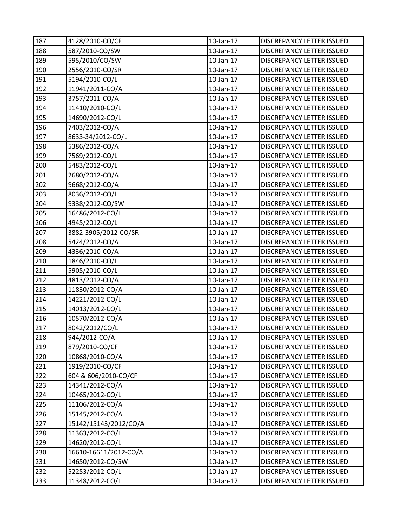| 187 | 4128/2010-CO/CF       | 10-Jan-17       | DISCREPANCY LETTER ISSUED        |
|-----|-----------------------|-----------------|----------------------------------|
| 188 | 587/2010-CO/SW        | 10-Jan-17       | <b>DISCREPANCY LETTER ISSUED</b> |
| 189 | 595/2010/CO/SW        | 10-Jan-17       | <b>DISCREPANCY LETTER ISSUED</b> |
| 190 | 2556/2010-CO/SR       | 10-Jan-17       | DISCREPANCY LETTER ISSUED        |
| 191 | 5194/2010-CO/L        | 10-Jan-17       | DISCREPANCY LETTER ISSUED        |
| 192 | 11941/2011-CO/A       | 10-Jan-17       | DISCREPANCY LETTER ISSUED        |
| 193 | 3757/2011-CO/A        | 10-Jan-17       | DISCREPANCY LETTER ISSUED        |
| 194 | 11410/2010-CO/L       | $10$ -Jan- $17$ | DISCREPANCY LETTER ISSUED        |
| 195 | 14690/2012-CO/L       | 10-Jan-17       | DISCREPANCY LETTER ISSUED        |
| 196 | 7403/2012-CO/A        | 10-Jan-17       | <b>DISCREPANCY LETTER ISSUED</b> |
| 197 | 8633-34/2012-CO/L     | 10-Jan-17       | DISCREPANCY LETTER ISSUED        |
| 198 | 5386/2012-CO/A        | 10-Jan-17       | DISCREPANCY LETTER ISSUED        |
| 199 | 7569/2012-CO/L        | $10$ -Jan- $17$ | DISCREPANCY LETTER ISSUED        |
| 200 | 5483/2012-CO/L        | 10-Jan-17       | DISCREPANCY LETTER ISSUED        |
| 201 | 2680/2012-CO/A        | 10-Jan-17       | DISCREPANCY LETTER ISSUED        |
| 202 | 9668/2012-CO/A        | 10-Jan-17       | <b>DISCREPANCY LETTER ISSUED</b> |
| 203 | 8036/2012-CO/L        | 10-Jan-17       | DISCREPANCY LETTER ISSUED        |
| 204 | 9338/2012-CO/SW       | $10$ -Jan- $17$ | <b>DISCREPANCY LETTER ISSUED</b> |
| 205 | 16486/2012-CO/L       | 10-Jan-17       | DISCREPANCY LETTER ISSUED        |
| 206 | 4945/2012-CO/L        | 10-Jan-17       | <b>DISCREPANCY LETTER ISSUED</b> |
| 207 | 3882-3905/2012-CO/SR  | 10-Jan-17       | DISCREPANCY LETTER ISSUED        |
| 208 | 5424/2012-CO/A        | 10-Jan-17       | DISCREPANCY LETTER ISSUED        |
| 209 | 4336/2010-CO/A        | $10$ -Jan- $17$ | DISCREPANCY LETTER ISSUED        |
| 210 | 1846/2010-CO/L        | 10-Jan-17       | DISCREPANCY LETTER ISSUED        |
| 211 | 5905/2010-CO/L        | 10-Jan-17       | DISCREPANCY LETTER ISSUED        |
| 212 | 4813/2012-CO/A        | 10-Jan-17       | DISCREPANCY LETTER ISSUED        |
| 213 | 11830/2012-CO/A       | 10-Jan-17       | <b>DISCREPANCY LETTER ISSUED</b> |
| 214 | 14221/2012-CO/L       | 10-Jan-17       | DISCREPANCY LETTER ISSUED        |
| 215 | 14013/2012-CO/L       | 10-Jan-17       | DISCREPANCY LETTER ISSUED        |
| 216 | 10570/2012-CO/A       | 10-Jan-17       | DISCREPANCY LETTER ISSUED        |
| 217 | 8042/2012/CO/L        | 10-Jan-17       | DISCREPANCY LETTER ISSUED        |
| 218 | 944/2012-CO/A         | 10-Jan-17       | DISCREPANCY LETTER ISSUED        |
| 219 | 879/2010-CO/CF        | 10-Jan-17       | <b>DISCREPANCY LETTER ISSUED</b> |
| 220 | 10868/2010-CO/A       | 10-Jan-17       | DISCREPANCY LETTER ISSUED        |
| 221 | 1919/2010-CO/CF       | 10-Jan-17       | DISCREPANCY LETTER ISSUED        |
| 222 | 604 & 606/2010-CO/CF  | $10$ -Jan- $17$ | DISCREPANCY LETTER ISSUED        |
| 223 | 14341/2012-CO/A       | 10-Jan-17       | DISCREPANCY LETTER ISSUED        |
| 224 | 10465/2012-CO/L       | 10-Jan-17       | <b>DISCREPANCY LETTER ISSUED</b> |
| 225 | 11106/2012-CO/A       | 10-Jan-17       | <b>DISCREPANCY LETTER ISSUED</b> |
| 226 | 15145/2012-CO/A       | 10-Jan-17       | DISCREPANCY LETTER ISSUED        |
| 227 | 15142/15143/2012/CO/A | $10$ -Jan- $17$ | DISCREPANCY LETTER ISSUED        |
| 228 | 11363/2012-CO/L       | 10-Jan-17       | DISCREPANCY LETTER ISSUED        |
| 229 | 14620/2012-CO/L       | 10-Jan-17       | DISCREPANCY LETTER ISSUED        |
| 230 | 16610-16611/2012-CO/A | 10-Jan-17       | DISCREPANCY LETTER ISSUED        |
| 231 | 14650/2012-CO/SW      | 10-Jan-17       | DISCREPANCY LETTER ISSUED        |
| 232 | 52253/2012-CO/L       | $10$ -Jan- $17$ | DISCREPANCY LETTER ISSUED        |
| 233 | 11348/2012-CO/L       | 10-Jan-17       | DISCREPANCY LETTER ISSUED        |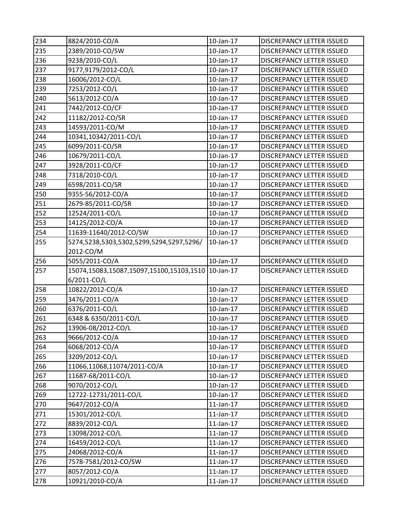| 234 | 8824/2010-CO/A                                     | $10$ -Jan- $17$ | <b>DISCREPANCY LETTER ISSUED</b> |
|-----|----------------------------------------------------|-----------------|----------------------------------|
| 235 | 2389/2010-CO/SW                                    | 10-Jan-17       | DISCREPANCY LETTER ISSUED        |
| 236 | 9238/2010-CO/L                                     | 10-Jan-17       | DISCREPANCY LETTER ISSUED        |
| 237 | 9177,9179/2012-CO/L                                | 10-Jan-17       | DISCREPANCY LETTER ISSUED        |
| 238 | 16006/2012-CO/L                                    | $10$ -Jan- $17$ | DISCREPANCY LETTER ISSUED        |
| 239 | 7253/2012-CO/L                                     | 10-Jan-17       | DISCREPANCY LETTER ISSUED        |
| 240 | 5613/2012-CO/A                                     | $10$ -Jan- $17$ | DISCREPANCY LETTER ISSUED        |
| 241 | 7442/2012-CO/CF                                    | $10$ -Jan- $17$ | DISCREPANCY LETTER ISSUED        |
| 242 | 11182/2012-CO/SR                                   | $10$ -Jan- $17$ | DISCREPANCY LETTER ISSUED        |
| 243 | 14593/2011-CO/M                                    | 10-Jan-17       | DISCREPANCY LETTER ISSUED        |
| 244 | 10341,10342/2011-CO/L                              | 10-Jan-17       | DISCREPANCY LETTER ISSUED        |
| 245 | 6099/2011-CO/SR                                    | 10-Jan-17       | DISCREPANCY LETTER ISSUED        |
| 246 | 10679/2011-CO/L                                    | $10$ -Jan- $17$ | DISCREPANCY LETTER ISSUED        |
| 247 | 3928/2011-CO/CF                                    | $10$ -Jan- $17$ | DISCREPANCY LETTER ISSUED        |
| 248 | 7318/2010-CO/L                                     | $10$ -Jan- $17$ | DISCREPANCY LETTER ISSUED        |
| 249 | 6598/2011-CO/SR                                    | 10-Jan-17       | DISCREPANCY LETTER ISSUED        |
| 250 | 9355-56/2012-CO/A                                  | 10-Jan-17       | DISCREPANCY LETTER ISSUED        |
| 251 | 2679-85/2011-CO/SR                                 | 10-Jan-17       | <b>DISCREPANCY LETTER ISSUED</b> |
| 252 | 12524/2011-CO/L                                    | 10-Jan-17       | DISCREPANCY LETTER ISSUED        |
| 253 | 14125/2012-CO/A                                    | $10$ -Jan- $17$ | <b>DISCREPANCY LETTER ISSUED</b> |
| 254 | 11639-11640/2012-CO/SW                             | 10-Jan-17       | DISCREPANCY LETTER ISSUED        |
| 255 | 5274,5238,5303,5302,5299,5294,5297,5296/           | 10-Jan-17       | DISCREPANCY LETTER ISSUED        |
|     | 2012-CO/M                                          |                 |                                  |
| 256 | 5055/2011-CO/A                                     | $10$ -Jan- $17$ | DISCREPANCY LETTER ISSUED        |
| 257 | 15074,15083,15087,15097,15100,15103,1510 10-Jan-17 |                 | DISCREPANCY LETTER ISSUED        |
|     | 6/2011-CO/L                                        |                 |                                  |
| 258 | 10822/2012-CO/A                                    | 10-Jan-17       | DISCREPANCY LETTER ISSUED        |
| 259 | 3476/2011-CO/A                                     | $10$ -Jan- $17$ | DISCREPANCY LETTER ISSUED        |
| 260 | 6376/2011-CO/L                                     | 10-Jan-17       | DISCREPANCY LETTER ISSUED        |
| 261 | 6348 & 6350/2011-CO/L                              | 10-Jan-17       | DISCREPANCY LETTER ISSUED        |
| 262 | 13906-08/2012-CO/L                                 | $10$ -Jan- $17$ | DISCREPANCY LETTER ISSUED        |
| 263 | 9666/2012-CO/A                                     | 10-Jan-17       | DISCREPANCY LETTER ISSUED        |
| 264 | 6068/2012-CO/A                                     | 10-Jan-17       | <b>DISCREPANCY LETTER ISSUED</b> |
| 265 | 3209/2012-CO/L                                     | 10-Jan-17       | <b>DISCREPANCY LETTER ISSUED</b> |
| 266 | 11066,11068,11074/2011-CO/A                        | 10-Jan-17       | DISCREPANCY LETTER ISSUED        |
| 267 | 11687-68/2011-CO/L                                 | 10-Jan-17       | DISCREPANCY LETTER ISSUED        |
| 268 | 9070/2012-CO/L                                     | 10-Jan-17       | DISCREPANCY LETTER ISSUED        |
| 269 | 12722-12731/2011-CO/L                              | 10-Jan-17       | DISCREPANCY LETTER ISSUED        |
| 270 | 9647/2012-CO/A                                     | $11$ -Jan- $17$ | DISCREPANCY LETTER ISSUED        |
| 271 | 15301/2012-CO/L                                    | $11$ -Jan- $17$ | DISCREPANCY LETTER ISSUED        |
| 272 | 8839/2012-CO/L                                     | $11$ -Jan- $17$ | DISCREPANCY LETTER ISSUED        |
| 273 | 13098/2012-CO/L                                    | $11$ -Jan- $17$ | DISCREPANCY LETTER ISSUED        |
| 274 | 16459/2012-CO/L                                    | $11$ -Jan- $17$ | <b>DISCREPANCY LETTER ISSUED</b> |
| 275 | 24068/2012-CO/A                                    | $11$ -Jan- $17$ | <b>DISCREPANCY LETTER ISSUED</b> |
| 276 | 7578-7581/2012-CO/SW                               | 11-Jan-17       | DISCREPANCY LETTER ISSUED        |
| 277 | 8057/2012-CO/A                                     | $11$ -Jan- $17$ | DISCREPANCY LETTER ISSUED        |
| 278 | 10921/2010-CO/A                                    | 11-Jan-17       | DISCREPANCY LETTER ISSUED        |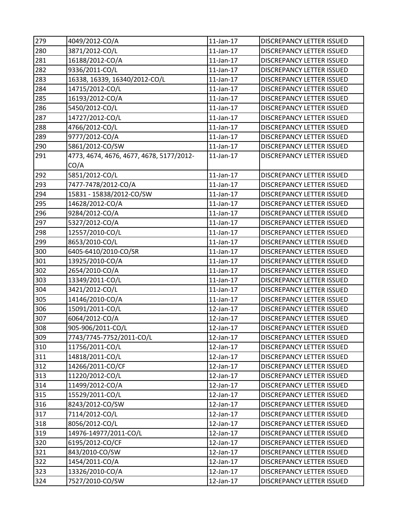| 279 | 4049/2012-CO/A                           | $11$ -Jan- $17$ | DISCREPANCY LETTER ISSUED        |
|-----|------------------------------------------|-----------------|----------------------------------|
| 280 | 3871/2012-CO/L                           | $11$ -Jan- $17$ | <b>DISCREPANCY LETTER ISSUED</b> |
| 281 | 16188/2012-CO/A                          | $11$ -Jan- $17$ | <b>DISCREPANCY LETTER ISSUED</b> |
| 282 | 9336/2011-CO/L                           | $11$ -Jan- $17$ | DISCREPANCY LETTER ISSUED        |
| 283 | 16338, 16339, 16340/2012-CO/L            | $11$ -Jan- $17$ | DISCREPANCY LETTER ISSUED        |
| 284 | 14715/2012-CO/L                          | $11$ -Jan- $17$ | DISCREPANCY LETTER ISSUED        |
| 285 | 16193/2012-CO/A                          | $11$ -Jan- $17$ | DISCREPANCY LETTER ISSUED        |
| 286 | 5450/2012-CO/L                           | $11$ -Jan- $17$ | DISCREPANCY LETTER ISSUED        |
| 287 | 14727/2012-CO/L                          | $11$ -Jan- $17$ | DISCREPANCY LETTER ISSUED        |
| 288 | 4766/2012-CO/L                           | $11$ -Jan- $17$ | <b>DISCREPANCY LETTER ISSUED</b> |
| 289 | 9777/2012-CO/A                           | 11-Jan-17       | <b>DISCREPANCY LETTER ISSUED</b> |
| 290 | 5861/2012-CO/SW                          | $11$ -Jan- $17$ | DISCREPANCY LETTER ISSUED        |
| 291 | 4773, 4674, 4676, 4677, 4678, 5177/2012- | $11$ -Jan- $17$ | <b>DISCREPANCY LETTER ISSUED</b> |
|     | CO/A                                     |                 |                                  |
| 292 | 5851/2012-CO/L                           | $11$ -Jan- $17$ | DISCREPANCY LETTER ISSUED        |
| 293 | 7477-7478/2012-CO/A                      | $11$ -Jan- $17$ | <b>DISCREPANCY LETTER ISSUED</b> |
| 294 | 15831 - 15838/2012-CO/SW                 | 11-Jan-17       | DISCREPANCY LETTER ISSUED        |
| 295 | 14628/2012-CO/A                          | $11$ -Jan- $17$ | DISCREPANCY LETTER ISSUED        |
| 296 | 9284/2012-CO/A                           | $11$ -Jan- $17$ | DISCREPANCY LETTER ISSUED        |
| 297 | 5327/2012-CO/A                           | 11-Jan-17       | <b>DISCREPANCY LETTER ISSUED</b> |
| 298 | 12557/2010-CO/L                          | $11$ -Jan- $17$ | <b>DISCREPANCY LETTER ISSUED</b> |
| 299 | 8653/2010-CO/L                           | $11$ -Jan- $17$ | DISCREPANCY LETTER ISSUED        |
| 300 | 6405-6410/2010-CO/SR                     | $11$ -Jan- $17$ | DISCREPANCY LETTER ISSUED        |
| 301 | 13925/2010-CO/A                          | $11$ -Jan- $17$ | DISCREPANCY LETTER ISSUED        |
| 302 | 2654/2010-CO/A                           | $11$ -Jan- $17$ | DISCREPANCY LETTER ISSUED        |
| 303 | 13349/2011-CO/L                          | $11$ -Jan- $17$ | <b>DISCREPANCY LETTER ISSUED</b> |
| 304 | 3421/2012-CO/L                           | $11$ -Jan- $17$ | DISCREPANCY LETTER ISSUED        |
| 305 | 14146/2010-CO/A                          | $11$ -Jan- $17$ | DISCREPANCY LETTER ISSUED        |
| 306 | 15091/2011-CO/L                          | 12-Jan-17       | DISCREPANCY LETTER ISSUED        |
| 307 | 6064/2012-CO/A                           | $12$ -Jan- $17$ | <b>DISCREPANCY LETTER ISSUED</b> |
| 308 | 905-906/2011-CO/L                        | 12-Jan-17       | DISCREPANCY LETTER ISSUED        |
| 309 | 7743/7745-7752/2011-CO/L                 | 12-Jan-17       | DISCREPANCY LETTER ISSUED        |
| 310 | 11756/2011-CO/L                          | 12-Jan-17       | DISCREPANCY LETTER ISSUED        |
| 311 | 14818/2011-CO/L                          | 12-Jan-17       | DISCREPANCY LETTER ISSUED        |
| 312 | 14266/2011-CO/CF                         | 12-Jan-17       | DISCREPANCY LETTER ISSUED        |
| 313 | 11220/2012-CO/L                          | 12-Jan-17       | DISCREPANCY LETTER ISSUED        |
| 314 | 11499/2012-CO/A                          | 12-Jan-17       | DISCREPANCY LETTER ISSUED        |
| 315 | 15529/2011-CO/L                          | 12-Jan-17       | DISCREPANCY LETTER ISSUED        |
| 316 | 8243/2012-CO/SW                          | 12-Jan-17       | <b>DISCREPANCY LETTER ISSUED</b> |
| 317 | 7114/2012-CO/L                           | 12-Jan-17       | DISCREPANCY LETTER ISSUED        |
| 318 | 8056/2012-CO/L                           | 12-Jan-17       | DISCREPANCY LETTER ISSUED        |
| 319 | 14976-14977/2011-CO/L                    | 12-Jan-17       | DISCREPANCY LETTER ISSUED        |
| 320 | 6195/2012-CO/CF                          | 12-Jan-17       | DISCREPANCY LETTER ISSUED        |
| 321 | 843/2010-CO/SW                           | 12-Jan-17       | <b>DISCREPANCY LETTER ISSUED</b> |
| 322 | 1454/2011-CO/A                           | 12-Jan-17       | DISCREPANCY LETTER ISSUED        |
| 323 | 13326/2010-CO/A                          | 12-Jan-17       | DISCREPANCY LETTER ISSUED        |
| 324 | 7527/2010-CO/SW                          | 12-Jan-17       | DISCREPANCY LETTER ISSUED        |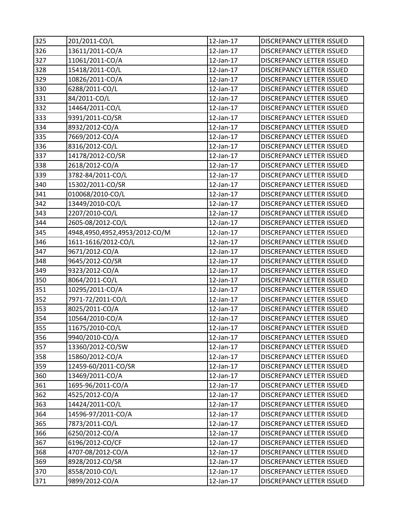| 325 | 201/2011-CO/L                 | 12-Jan-17 | DISCREPANCY LETTER ISSUED        |
|-----|-------------------------------|-----------|----------------------------------|
| 326 | 13611/2011-CO/A               | 12-Jan-17 | DISCREPANCY LETTER ISSUED        |
| 327 | 11061/2011-CO/A               | 12-Jan-17 | <b>DISCREPANCY LETTER ISSUED</b> |
| 328 | 15418/2011-CO/L               | 12-Jan-17 | DISCREPANCY LETTER ISSUED        |
| 329 | 10826/2011-CO/A               | 12-Jan-17 | <b>DISCREPANCY LETTER ISSUED</b> |
| 330 | 6288/2011-CO/L                | 12-Jan-17 | <b>DISCREPANCY LETTER ISSUED</b> |
| 331 | 84/2011-CO/L                  | 12-Jan-17 | DISCREPANCY LETTER ISSUED        |
| 332 | 14464/2011-CO/L               | 12-Jan-17 | DISCREPANCY LETTER ISSUED        |
| 333 | 9391/2011-CO/SR               | 12-Jan-17 | DISCREPANCY LETTER ISSUED        |
| 334 | 8932/2012-CO/A                | 12-Jan-17 | <b>DISCREPANCY LETTER ISSUED</b> |
| 335 | 7669/2012-CO/A                | 12-Jan-17 | DISCREPANCY LETTER ISSUED        |
| 336 | 8316/2012-CO/L                | 12-Jan-17 | DISCREPANCY LETTER ISSUED        |
| 337 | 14178/2012-CO/SR              | 12-Jan-17 | DISCREPANCY LETTER ISSUED        |
| 338 | 2618/2012-CO/A                | 12-Jan-17 | <b>DISCREPANCY LETTER ISSUED</b> |
| 339 | 3782-84/2011-CO/L             | 12-Jan-17 | DISCREPANCY LETTER ISSUED        |
| 340 | 15302/2011-CO/SR              | 12-Jan-17 | DISCREPANCY LETTER ISSUED        |
| 341 | 010068/2010-CO/L              | 12-Jan-17 | DISCREPANCY LETTER ISSUED        |
| 342 | 13449/2010-CO/L               | 12-Jan-17 | DISCREPANCY LETTER ISSUED        |
| 343 | 2207/2010-CO/L                | 12-Jan-17 | <b>DISCREPANCY LETTER ISSUED</b> |
| 344 | 2605-08/2012-CO/L             | 12-Jan-17 | DISCREPANCY LETTER ISSUED        |
| 345 | 4948,4950,4952,4953/2012-CO/M | 12-Jan-17 | DISCREPANCY LETTER ISSUED        |
| 346 | 1611-1616/2012-CO/L           | 12-Jan-17 | DISCREPANCY LETTER ISSUED        |
| 347 | 9671/2012-CO/A                | 12-Jan-17 | DISCREPANCY LETTER ISSUED        |
| 348 | 9645/2012-CO/SR               | 12-Jan-17 | DISCREPANCY LETTER ISSUED        |
| 349 | 9323/2012-CO/A                | 12-Jan-17 | DISCREPANCY LETTER ISSUED        |
| 350 | 8064/2011-CO/L                | 12-Jan-17 | <b>DISCREPANCY LETTER ISSUED</b> |
| 351 | 10295/2011-CO/A               | 12-Jan-17 | DISCREPANCY LETTER ISSUED        |
| 352 | 7971-72/2011-CO/L             | 12-Jan-17 | DISCREPANCY LETTER ISSUED        |
| 353 | 8025/2011-CO/A                | 12-Jan-17 | DISCREPANCY LETTER ISSUED        |
| 354 | 10564/2010-CO/A               | 12-Jan-17 | <b>DISCREPANCY LETTER ISSUED</b> |
| 355 | 11675/2010-CO/L               | 12-Jan-17 | <b>DISCREPANCY LETTER ISSUED</b> |
| 356 | 9940/2010-CO/A                | 12-Jan-17 | DISCREPANCY LETTER ISSUED        |
| 357 | 13360/2012-CO/SW              | 12-Jan-17 | <b>DISCREPANCY LETTER ISSUED</b> |
| 358 | 15860/2012-CO/A               | 12-Jan-17 | <b>DISCREPANCY LETTER ISSUED</b> |
| 359 | 12459-60/2011-CO/SR           | 12-Jan-17 | <b>DISCREPANCY LETTER ISSUED</b> |
| 360 | 13469/2011-CO/A               | 12-Jan-17 | <b>DISCREPANCY LETTER ISSUED</b> |
| 361 | 1695-96/2011-CO/A             | 12-Jan-17 | DISCREPANCY LETTER ISSUED        |
| 362 | 4525/2012-CO/A                | 12-Jan-17 | DISCREPANCY LETTER ISSUED        |
| 363 | 14424/2011-CO/L               | 12-Jan-17 | DISCREPANCY LETTER ISSUED        |
| 364 | 14596-97/2011-CO/A            | 12-Jan-17 | DISCREPANCY LETTER ISSUED        |
| 365 | 7873/2011-CO/L                | 12-Jan-17 | DISCREPANCY LETTER ISSUED        |
| 366 | 6250/2012-CO/A                | 12-Jan-17 | DISCREPANCY LETTER ISSUED        |
| 367 | 6196/2012-CO/CF               | 12-Jan-17 | DISCREPANCY LETTER ISSUED        |
| 368 | 4707-08/2012-CO/A             | 12-Jan-17 | <b>DISCREPANCY LETTER ISSUED</b> |
| 369 | 8928/2012-CO/SR               | 12-Jan-17 | DISCREPANCY LETTER ISSUED        |
| 370 | 8558/2010-CO/L                | 12-Jan-17 | DISCREPANCY LETTER ISSUED        |
| 371 | 9899/2012-CO/A                | 12-Jan-17 | DISCREPANCY LETTER ISSUED        |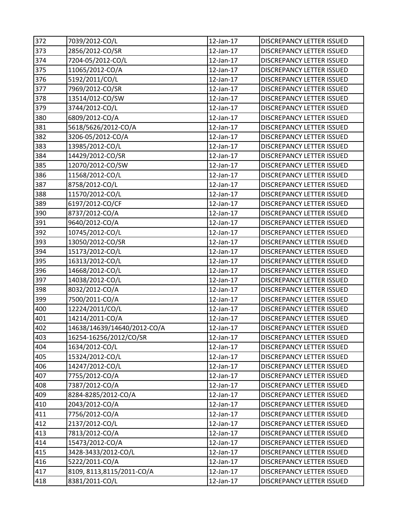| 372 | 7039/2012-CO/L              | 12-Jan-17       | DISCREPANCY LETTER ISSUED        |
|-----|-----------------------------|-----------------|----------------------------------|
| 373 | 2856/2012-CO/SR             | 12-Jan-17       | <b>DISCREPANCY LETTER ISSUED</b> |
| 374 | 7204-05/2012-CO/L           | 12-Jan-17       | DISCREPANCY LETTER ISSUED        |
| 375 | 11065/2012-CO/A             | 12-Jan-17       | DISCREPANCY LETTER ISSUED        |
| 376 | 5192/2011/CO/L              | $12$ -Jan- $17$ | DISCREPANCY LETTER ISSUED        |
| 377 | 7969/2012-CO/SR             | 12-Jan-17       | <b>DISCREPANCY LETTER ISSUED</b> |
| 378 | 13514/012-CO/SW             | 12-Jan-17       | DISCREPANCY LETTER ISSUED        |
| 379 | 3744/2012-CO/L              | 12-Jan-17       | DISCREPANCY LETTER ISSUED        |
| 380 | 6809/2012-CO/A              | 12-Jan-17       | DISCREPANCY LETTER ISSUED        |
| 381 | 5618/5626/2012-CO/A         | 12-Jan-17       | DISCREPANCY LETTER ISSUED        |
| 382 | 3206-05/2012-CO/A           | 12-Jan-17       | <b>DISCREPANCY LETTER ISSUED</b> |
| 383 | 13985/2012-CO/L             | 12-Jan-17       | DISCREPANCY LETTER ISSUED        |
| 384 | 14429/2012-CO/SR            | 12-Jan-17       | DISCREPANCY LETTER ISSUED        |
| 385 | 12070/2012-CO/SW            | 12-Jan-17       | DISCREPANCY LETTER ISSUED        |
| 386 | 11568/2012-CO/L             | $12$ -Jan- $17$ | DISCREPANCY LETTER ISSUED        |
| 387 | 8758/2012-CO/L              | 12-Jan-17       | <b>DISCREPANCY LETTER ISSUED</b> |
| 388 | 11570/2012-CO/L             | 12-Jan-17       | DISCREPANCY LETTER ISSUED        |
| 389 | 6197/2012-CO/CF             | 12-Jan-17       | <b>DISCREPANCY LETTER ISSUED</b> |
| 390 | 8737/2012-CO/A              | 12-Jan-17       | <b>DISCREPANCY LETTER ISSUED</b> |
| 391 | 9640/2012-CO/A              | 12-Jan-17       | <b>DISCREPANCY LETTER ISSUED</b> |
| 392 | 10745/2012-CO/L             | 12-Jan-17       | DISCREPANCY LETTER ISSUED        |
| 393 | 13050/2012-CO/SR            | 12-Jan-17       | DISCREPANCY LETTER ISSUED        |
| 394 | 15173/2012-CO/L             | 12-Jan-17       | DISCREPANCY LETTER ISSUED        |
| 395 | 16313/2012-CO/L             | 12-Jan-17       | DISCREPANCY LETTER ISSUED        |
| 396 | 14668/2012-CO/L             | 12-Jan-17       | DISCREPANCY LETTER ISSUED        |
| 397 | 14038/2012-CO/L             | 12-Jan-17       | <b>DISCREPANCY LETTER ISSUED</b> |
| 398 | 8032/2012-CO/A              | 12-Jan-17       | DISCREPANCY LETTER ISSUED        |
| 399 | 7500/2011-CO/A              | 12-Jan-17       | DISCREPANCY LETTER ISSUED        |
| 400 | 12224/2011/CO/L             | 12-Jan-17       | DISCREPANCY LETTER ISSUED        |
| 401 | 14214/2011-CO/A             | 12-Jan-17       | <b>DISCREPANCY LETTER ISSUED</b> |
| 402 | 14638/14639/14640/2012-CO/A | 12-Jan-17       | DISCREPANCY LETTER ISSUED        |
| 403 | 16254-16256/2012/CO/SR      | 12-Jan-17       | DISCREPANCY LETTER ISSUED        |
| 404 | 1634/2012-CO/L              | 12-Jan-17       | <b>DISCREPANCY LETTER ISSUED</b> |
| 405 | 15324/2012-CO/L             | 12-Jan-17       | DISCREPANCY LETTER ISSUED        |
| 406 | 14247/2012-CO/L             | 12-Jan-17       | DISCREPANCY LETTER ISSUED        |
| 407 | 7755/2012-CO/A              | 12-Jan-17       | DISCREPANCY LETTER ISSUED        |
| 408 | 7387/2012-CO/A              | 12-Jan-17       | DISCREPANCY LETTER ISSUED        |
| 409 | 8284-8285/2012-CO/A         | 12-Jan-17       | <b>DISCREPANCY LETTER ISSUED</b> |
| 410 | 2043/2012-CO/A              | 12-Jan-17       | <b>DISCREPANCY LETTER ISSUED</b> |
| 411 | 7756/2012-CO/A              | 12-Jan-17       | DISCREPANCY LETTER ISSUED        |
| 412 | 2137/2012-CO/L              | 12-Jan-17       | DISCREPANCY LETTER ISSUED        |
| 413 | 7813/2012-CO/A              | 12-Jan-17       | DISCREPANCY LETTER ISSUED        |
| 414 | 15473/2012-CO/A             | 12-Jan-17       | <b>DISCREPANCY LETTER ISSUED</b> |
| 415 | 3428-3433/2012-CO/L         | 12-Jan-17       | <b>DISCREPANCY LETTER ISSUED</b> |
| 416 | 5222/2011-CO/A              | 12-Jan-17       | DISCREPANCY LETTER ISSUED        |
| 417 | 8109, 8113, 8115/2011-CO/A  | 12-Jan-17       | DISCREPANCY LETTER ISSUED        |
| 418 | 8381/2011-CO/L              | 12-Jan-17       | DISCREPANCY LETTER ISSUED        |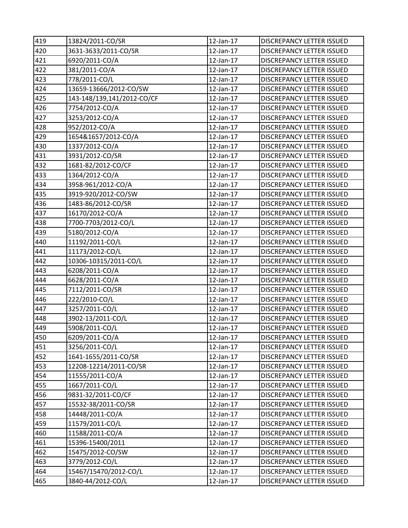| 419 | 13824/2011-CO/SR           | 12-Jan-17       | DISCREPANCY LETTER ISSUED        |
|-----|----------------------------|-----------------|----------------------------------|
| 420 | 3631-3633/2011-CO/SR       | 12-Jan-17       | <b>DISCREPANCY LETTER ISSUED</b> |
| 421 | 6920/2011-CO/A             | 12-Jan-17       | <b>DISCREPANCY LETTER ISSUED</b> |
| 422 | 381/2011-CO/A              | 12-Jan-17       | DISCREPANCY LETTER ISSUED        |
| 423 | 778/2011-CO/L              | 12-Jan-17       | DISCREPANCY LETTER ISSUED        |
| 424 | 13659-13666/2012-CO/SW     | 12-Jan-17       | DISCREPANCY LETTER ISSUED        |
| 425 | 143-148/139,141/2012-CO/CF | 12-Jan-17       | DISCREPANCY LETTER ISSUED        |
| 426 | 7754/2012-CO/A             | 12-Jan-17       | <b>DISCREPANCY LETTER ISSUED</b> |
| 427 | 3253/2012-CO/A             | 12-Jan-17       | DISCREPANCY LETTER ISSUED        |
| 428 | 952/2012-CO/A              | 12-Jan-17       | DISCREPANCY LETTER ISSUED        |
| 429 | 1654&1657/2012-CO/A        | 12-Jan-17       | <b>DISCREPANCY LETTER ISSUED</b> |
| 430 | 1337/2012-CO/A             | $12$ -Jan- $17$ | DISCREPANCY LETTER ISSUED        |
| 431 | 3931/2012-CO/SR            | 12-Jan-17       | DISCREPANCY LETTER ISSUED        |
| 432 | 1681-82/2012-CO/CF         | 12-Jan-17       | DISCREPANCY LETTER ISSUED        |
| 433 | 1364/2012-CO/A             | 12-Jan-17       | DISCREPANCY LETTER ISSUED        |
| 434 | 3958-961/2012-CO/A         | 12-Jan-17       | <b>DISCREPANCY LETTER ISSUED</b> |
| 435 | 3919-920/2012-CO/SW        | 12-Jan-17       | DISCREPANCY LETTER ISSUED        |
| 436 | 1483-86/2012-CO/SR         | 12-Jan-17       | DISCREPANCY LETTER ISSUED        |
| 437 | 16170/2012-CO/A            | 12-Jan-17       | DISCREPANCY LETTER ISSUED        |
| 438 | 7700-7703/2012-CO/L        | 12-Jan-17       | <b>DISCREPANCY LETTER ISSUED</b> |
| 439 | 5180/2012-CO/A             | 12-Jan-17       | DISCREPANCY LETTER ISSUED        |
| 440 | 11192/2011-CO/L            | 12-Jan-17       | DISCREPANCY LETTER ISSUED        |
| 441 | 11173/2012-CO/L            | 12-Jan-17       | DISCREPANCY LETTER ISSUED        |
| 442 | 10306-10315/2011-CO/L      | 12-Jan-17       | DISCREPANCY LETTER ISSUED        |
| 443 | 6208/2011-CO/A             | 12-Jan-17       | DISCREPANCY LETTER ISSUED        |
| 444 | 6628/2011-CO/A             | 12-Jan-17       | <b>DISCREPANCY LETTER ISSUED</b> |
| 445 | 7112/2011-CO/SR            | 12-Jan-17       | DISCREPANCY LETTER ISSUED        |
| 446 | 222/2010-CO/L              | 12-Jan-17       | DISCREPANCY LETTER ISSUED        |
| 447 | 3257/2011-CO/L             | 12-Jan-17       | DISCREPANCY LETTER ISSUED        |
| 448 | 3902-13/2011-CO/L          | 12-Jan-17       | DISCREPANCY LETTER ISSUED        |
| 449 | 5908/2011-CO/L             | 12-Jan-17       | DISCREPANCY LETTER ISSUED        |
| 450 | 6209/2011-CO/A             | 12-Jan-17       | DISCREPANCY LETTER ISSUED        |
| 451 | 3256/2011-CO/L             | 12-Jan-17       | DISCREPANCY LETTER ISSUED        |
| 452 | 1641-1655/2011-CO/SR       | 12-Jan-17       | DISCREPANCY LETTER ISSUED        |
| 453 | 12208-12214/2011-CO/SR     | 12-Jan-17       | DISCREPANCY LETTER ISSUED        |
| 454 | 11555/2011-CO/A            | 12-Jan-17       | DISCREPANCY LETTER ISSUED        |
| 455 | 1667/2011-CO/L             | 12-Jan-17       | <b>DISCREPANCY LETTER ISSUED</b> |
| 456 | 9831-32/2011-CO/CF         | 12-Jan-17       | DISCREPANCY LETTER ISSUED        |
| 457 | 15532-38/2011-CO/SR        | 12-Jan-17       | DISCREPANCY LETTER ISSUED        |
| 458 | 14448/2011-CO/A            | 12-Jan-17       | DISCREPANCY LETTER ISSUED        |
| 459 | 11579/2011-CO/L            | 12-Jan-17       | DISCREPANCY LETTER ISSUED        |
| 460 | 11588/2011-CO/A            | 12-Jan-17       | DISCREPANCY LETTER ISSUED        |
| 461 | 15396-15400/2011           | 12-Jan-17       | DISCREPANCY LETTER ISSUED        |
| 462 | 15475/2012-CO/SW           | 12-Jan-17       | DISCREPANCY LETTER ISSUED        |
| 463 | 3779/2012-CO/L             | 12-Jan-17       | DISCREPANCY LETTER ISSUED        |
| 464 | 15467/15470/2012-CO/L      | 12-Jan-17       | DISCREPANCY LETTER ISSUED        |
| 465 | 3840-44/2012-CO/L          | 12-Jan-17       | DISCREPANCY LETTER ISSUED        |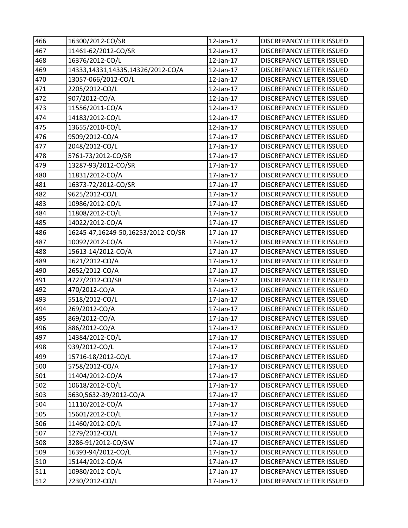| 466 | 16300/2012-CO/SR                   | 12-Jan-17       | DISCREPANCY LETTER ISSUED        |
|-----|------------------------------------|-----------------|----------------------------------|
| 467 | 11461-62/2012-CO/SR                | 12-Jan-17       | <b>DISCREPANCY LETTER ISSUED</b> |
| 468 | 16376/2012-CO/L                    | $12$ -Jan- $17$ | DISCREPANCY LETTER ISSUED        |
| 469 | 14333,14331,14335,14326/2012-CO/A  | 12-Jan-17       | DISCREPANCY LETTER ISSUED        |
| 470 | 13057-066/2012-CO/L                | 12-Jan-17       | DISCREPANCY LETTER ISSUED        |
| 471 | 2205/2012-CO/L                     | 12-Jan-17       | DISCREPANCY LETTER ISSUED        |
| 472 | 907/2012-CO/A                      | 12-Jan-17       | DISCREPANCY LETTER ISSUED        |
| 473 | 11556/2011-CO/A                    | 12-Jan-17       | DISCREPANCY LETTER ISSUED        |
| 474 | 14183/2012-CO/L                    | 12-Jan-17       | DISCREPANCY LETTER ISSUED        |
| 475 | 13655/2010-CO/L                    | 12-Jan-17       | DISCREPANCY LETTER ISSUED        |
| 476 | 9509/2012-CO/A                     | 17-Jan-17       | DISCREPANCY LETTER ISSUED        |
| 477 | 2048/2012-CO/L                     | 17-Jan-17       | DISCREPANCY LETTER ISSUED        |
| 478 | 5761-73/2012-CO/SR                 | 17-Jan-17       | DISCREPANCY LETTER ISSUED        |
| 479 | 13287-93/2012-CO/SR                | 17-Jan-17       | <b>DISCREPANCY LETTER ISSUED</b> |
| 480 | 11831/2012-CO/A                    | 17-Jan-17       | DISCREPANCY LETTER ISSUED        |
| 481 | 16373-72/2012-CO/SR                | 17-Jan-17       | DISCREPANCY LETTER ISSUED        |
| 482 | 9625/2012-CO/L                     | 17-Jan-17       | DISCREPANCY LETTER ISSUED        |
| 483 | 10986/2012-CO/L                    | 17-Jan-17       | DISCREPANCY LETTER ISSUED        |
| 484 | 11808/2012-CO/L                    | 17-Jan-17       | DISCREPANCY LETTER ISSUED        |
| 485 | 14022/2012-CO/A                    | 17-Jan-17       | DISCREPANCY LETTER ISSUED        |
| 486 | 16245-47,16249-50,16253/2012-CO/SR | 17-Jan-17       | DISCREPANCY LETTER ISSUED        |
| 487 | 10092/2012-CO/A                    | 17-Jan-17       | DISCREPANCY LETTER ISSUED        |
| 488 | 15613-14/2012-CO/A                 | 17-Jan-17       | DISCREPANCY LETTER ISSUED        |
| 489 | 1621/2012-CO/A                     | 17-Jan-17       | DISCREPANCY LETTER ISSUED        |
| 490 | 2652/2012-CO/A                     | 17-Jan-17       | DISCREPANCY LETTER ISSUED        |
| 491 | 4727/2012-CO/SR                    | 17-Jan-17       | DISCREPANCY LETTER ISSUED        |
| 492 | 470/2012-CO/A                      | 17-Jan-17       | DISCREPANCY LETTER ISSUED        |
| 493 | 5518/2012-CO/L                     | 17-Jan-17       | DISCREPANCY LETTER ISSUED        |
| 494 | 269/2012-CO/A                      | 17-Jan-17       | DISCREPANCY LETTER ISSUED        |
| 495 | 869/2012-CO/A                      | 17-Jan-17       | DISCREPANCY LETTER ISSUED        |
| 496 | 886/2012-CO/A                      | 17-Jan-17       | DISCREPANCY LETTER ISSUED        |
| 497 | 14384/2012-CO/L                    | 17-Jan-17       | DISCREPANCY LETTER ISSUED        |
| 498 | 939/2012-CO/L                      | 17-Jan-17       | DISCREPANCY LETTER ISSUED        |
| 499 | 15716-18/2012-CO/L                 | 17-Jan-17       | DISCREPANCY LETTER ISSUED        |
| 500 | 5758/2012-CO/A                     | 17-Jan-17       | DISCREPANCY LETTER ISSUED        |
| 501 | 11404/2012-CO/A                    | 17-Jan-17       | <b>DISCREPANCY LETTER ISSUED</b> |
| 502 | 10618/2012-CO/L                    | 17-Jan-17       | DISCREPANCY LETTER ISSUED        |
| 503 | 5630,5632-39/2012-CO/A             | 17-Jan-17       | <b>DISCREPANCY LETTER ISSUED</b> |
| 504 | 11110/2012-CO/A                    | 17-Jan-17       | DISCREPANCY LETTER ISSUED        |
| 505 | 15601/2012-CO/L                    | 17-Jan-17       | DISCREPANCY LETTER ISSUED        |
| 506 | 11460/2012-CO/L                    | 17-Jan-17       | DISCREPANCY LETTER ISSUED        |
| 507 | 1279/2012-CO/L                     | 17-Jan-17       | DISCREPANCY LETTER ISSUED        |
| 508 | 3286-91/2012-CO/SW                 | 17-Jan-17       | DISCREPANCY LETTER ISSUED        |
| 509 | 16393-94/2012-CO/L                 | 17-Jan-17       | DISCREPANCY LETTER ISSUED        |
| 510 | 15144/2012-CO/A                    | 17-Jan-17       | DISCREPANCY LETTER ISSUED        |
| 511 | 10980/2012-CO/L                    | 17-Jan-17       | DISCREPANCY LETTER ISSUED        |
| 512 | 7230/2012-CO/L                     | 17-Jan-17       | DISCREPANCY LETTER ISSUED        |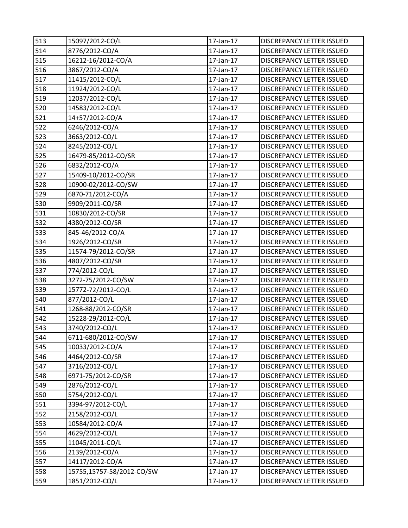| 513 | 15097/2012-CO/L           | 17-Jan-17 | <b>DISCREPANCY LETTER ISSUED</b> |
|-----|---------------------------|-----------|----------------------------------|
| 514 | 8776/2012-CO/A            | 17-Jan-17 | DISCREPANCY LETTER ISSUED        |
| 515 | 16212-16/2012-CO/A        | 17-Jan-17 | DISCREPANCY LETTER ISSUED        |
| 516 | 3867/2012-CO/A            | 17-Jan-17 | DISCREPANCY LETTER ISSUED        |
| 517 | 11415/2012-CO/L           | 17-Jan-17 | DISCREPANCY LETTER ISSUED        |
| 518 | 11924/2012-CO/L           | 17-Jan-17 | DISCREPANCY LETTER ISSUED        |
| 519 | 12037/2012-CO/L           | 17-Jan-17 | DISCREPANCY LETTER ISSUED        |
| 520 | 14583/2012-CO/L           | 17-Jan-17 | <b>DISCREPANCY LETTER ISSUED</b> |
| 521 | 14+57/2012-CO/A           | 17-Jan-17 | DISCREPANCY LETTER ISSUED        |
| 522 | 6246/2012-CO/A            | 17-Jan-17 | DISCREPANCY LETTER ISSUED        |
| 523 | 3663/2012-CO/L            | 17-Jan-17 | DISCREPANCY LETTER ISSUED        |
| 524 | 8245/2012-CO/L            | 17-Jan-17 | DISCREPANCY LETTER ISSUED        |
| 525 | 16479-85/2012-CO/SR       | 17-Jan-17 | DISCREPANCY LETTER ISSUED        |
| 526 | 6832/2012-CO/A            | 17-Jan-17 | <b>DISCREPANCY LETTER ISSUED</b> |
| 527 | 15409-10/2012-CO/SR       | 17-Jan-17 | DISCREPANCY LETTER ISSUED        |
| 528 | 10900-02/2012-CO/SW       | 17-Jan-17 | DISCREPANCY LETTER ISSUED        |
| 529 | 6870-71/2012-CO/A         | 17-Jan-17 | DISCREPANCY LETTER ISSUED        |
| 530 | 9909/2011-CO/SR           | 17-Jan-17 | DISCREPANCY LETTER ISSUED        |
| 531 | 10830/2012-CO/SR          | 17-Jan-17 | <b>DISCREPANCY LETTER ISSUED</b> |
| 532 | 4380/2012-CO/SR           | 17-Jan-17 | DISCREPANCY LETTER ISSUED        |
| 533 | 845-46/2012-CO/A          | 17-Jan-17 | DISCREPANCY LETTER ISSUED        |
| 534 | 1926/2012-CO/SR           | 17-Jan-17 | DISCREPANCY LETTER ISSUED        |
| 535 | 11574-79/2012-CO/SR       | 17-Jan-17 | DISCREPANCY LETTER ISSUED        |
| 536 | 4807/2012-CO/SR           | 17-Jan-17 | DISCREPANCY LETTER ISSUED        |
| 537 | 774/2012-CO/L             | 17-Jan-17 | DISCREPANCY LETTER ISSUED        |
| 538 | 3272-75/2012-CO/SW        | 17-Jan-17 | DISCREPANCY LETTER ISSUED        |
| 539 | 15772-72/2012-CO/L        | 17-Jan-17 | DISCREPANCY LETTER ISSUED        |
| 540 | 877/2012-CO/L             | 17-Jan-17 | <b>DISCREPANCY LETTER ISSUED</b> |
| 541 | 1268-88/2012-CO/SR        | 17-Jan-17 | DISCREPANCY LETTER ISSUED        |
| 542 | 15228-29/2012-CO/L        | 17-Jan-17 | <b>DISCREPANCY LETTER ISSUED</b> |
| 543 | 3740/2012-CO/L            | 17-Jan-17 | DISCREPANCY LETTER ISSUED        |
| 544 | 6711-680/2012-CO/SW       | 17-Jan-17 | DISCREPANCY LETTER ISSUED        |
| 545 | 10033/2012-CO/A           | 17-Jan-17 | DISCREPANCY LETTER ISSUED        |
| 546 | 4464/2012-CO/SR           | 17-Jan-17 | DISCREPANCY LETTER ISSUED        |
| 547 | 3716/2012-CO/L            | 17-Jan-17 | DISCREPANCY LETTER ISSUED        |
| 548 | 6971-75/2012-CO/SR        | 17-Jan-17 | DISCREPANCY LETTER ISSUED        |
| 549 | 2876/2012-CO/L            | 17-Jan-17 | DISCREPANCY LETTER ISSUED        |
| 550 | 5754/2012-CO/L            | 17-Jan-17 | DISCREPANCY LETTER ISSUED        |
| 551 | 3394-97/2012-CO/L         | 17-Jan-17 | DISCREPANCY LETTER ISSUED        |
| 552 | 2158/2012-CO/L            | 17-Jan-17 | DISCREPANCY LETTER ISSUED        |
| 553 | 10584/2012-CO/A           | 17-Jan-17 | DISCREPANCY LETTER ISSUED        |
| 554 | 4629/2012-CO/L            | 17-Jan-17 | DISCREPANCY LETTER ISSUED        |
| 555 | 11045/2011-CO/L           | 17-Jan-17 | <b>DISCREPANCY LETTER ISSUED</b> |
| 556 | 2139/2012-CO/A            | 17-Jan-17 | DISCREPANCY LETTER ISSUED        |
| 557 | 14117/2012-CO/A           | 17-Jan-17 | DISCREPANCY LETTER ISSUED        |
| 558 | 15755,15757-58/2012-CO/SW | 17-Jan-17 | DISCREPANCY LETTER ISSUED        |
| 559 | 1851/2012-CO/L            | 17-Jan-17 | DISCREPANCY LETTER ISSUED        |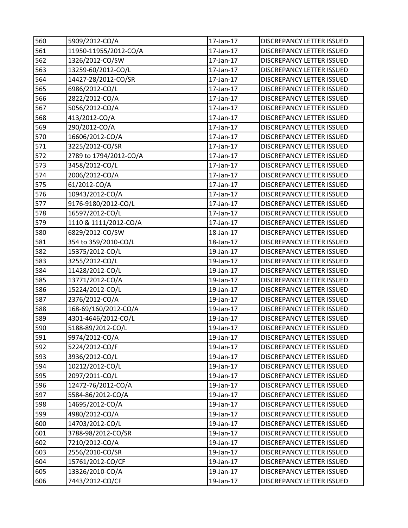| 560 | 5909/2012-CO/A         | 17-Jan-17 | DISCREPANCY LETTER ISSUED        |
|-----|------------------------|-----------|----------------------------------|
| 561 | 11950-11955/2012-CO/A  | 17-Jan-17 | <b>DISCREPANCY LETTER ISSUED</b> |
| 562 | 1326/2012-CO/SW        | 17-Jan-17 | <b>DISCREPANCY LETTER ISSUED</b> |
| 563 | 13259-60/2012-CO/L     | 17-Jan-17 | DISCREPANCY LETTER ISSUED        |
| 564 | 14427-28/2012-CO/SR    | 17-Jan-17 | DISCREPANCY LETTER ISSUED        |
| 565 | 6986/2012-CO/L         | 17-Jan-17 | DISCREPANCY LETTER ISSUED        |
| 566 | 2822/2012-CO/A         | 17-Jan-17 | DISCREPANCY LETTER ISSUED        |
| 567 | 5056/2012-CO/A         | 17-Jan-17 | <b>DISCREPANCY LETTER ISSUED</b> |
| 568 | 413/2012-CO/A          | 17-Jan-17 | DISCREPANCY LETTER ISSUED        |
| 569 | 290/2012-CO/A          | 17-Jan-17 | DISCREPANCY LETTER ISSUED        |
| 570 | 16606/2012-CO/A        | 17-Jan-17 | <b>DISCREPANCY LETTER ISSUED</b> |
| 571 | 3225/2012-CO/SR        | 17-Jan-17 | DISCREPANCY LETTER ISSUED        |
| 572 | 2789 to 1794/2012-CO/A | 17-Jan-17 | DISCREPANCY LETTER ISSUED        |
| 573 | 3458/2012-CO/L         | 17-Jan-17 | DISCREPANCY LETTER ISSUED        |
| 574 | 2006/2012-CO/A         | 17-Jan-17 | DISCREPANCY LETTER ISSUED        |
| 575 | 61/2012-CO/A           | 17-Jan-17 | <b>DISCREPANCY LETTER ISSUED</b> |
| 576 | 10943/2012-CO/A        | 17-Jan-17 | <b>DISCREPANCY LETTER ISSUED</b> |
| 577 | 9176-9180/2012-CO/L    | 17-Jan-17 | DISCREPANCY LETTER ISSUED        |
| 578 | 16597/2012-CO/L        | 17-Jan-17 | DISCREPANCY LETTER ISSUED        |
| 579 | 1110 & 1111/2012-CO/A  | 17-Jan-17 | <b>DISCREPANCY LETTER ISSUED</b> |
| 580 | 6829/2012-CO/SW        | 18-Jan-17 | DISCREPANCY LETTER ISSUED        |
| 581 | 354 to 359/2010-CO/L   | 18-Jan-17 | DISCREPANCY LETTER ISSUED        |
| 582 | 15375/2012-CO/L        | 19-Jan-17 | DISCREPANCY LETTER ISSUED        |
| 583 | 3255/2012-CO/L         | 19-Jan-17 | DISCREPANCY LETTER ISSUED        |
| 584 | 11428/2012-CO/L        | 19-Jan-17 | DISCREPANCY LETTER ISSUED        |
| 585 | 13771/2012-CO/A        | 19-Jan-17 | DISCREPANCY LETTER ISSUED        |
| 586 | 15224/2012-CO/L        | 19-Jan-17 | DISCREPANCY LETTER ISSUED        |
| 587 | 2376/2012-CO/A         | 19-Jan-17 | DISCREPANCY LETTER ISSUED        |
| 588 | 168-69/160/2012-CO/A   | 19-Jan-17 | DISCREPANCY LETTER ISSUED        |
| 589 | 4301-4646/2012-CO/L    | 19-Jan-17 | DISCREPANCY LETTER ISSUED        |
| 590 | 5188-89/2012-CO/L      | 19-Jan-17 | DISCREPANCY LETTER ISSUED        |
| 591 | 9974/2012-CO/A         | 19-Jan-17 | DISCREPANCY LETTER ISSUED        |
| 592 | 5224/2012-CO/F         | 19-Jan-17 | <b>DISCREPANCY LETTER ISSUED</b> |
| 593 | 3936/2012-CO/L         | 19-Jan-17 | DISCREPANCY LETTER ISSUED        |
| 594 | 10212/2012-CO/L        | 19-Jan-17 | DISCREPANCY LETTER ISSUED        |
| 595 | 2097/2011-CO/L         | 19-Jan-17 | DISCREPANCY LETTER ISSUED        |
| 596 | 12472-76/2012-CO/A     | 19-Jan-17 | DISCREPANCY LETTER ISSUED        |
| 597 | 5584-86/2012-CO/A      | 19-Jan-17 | <b>DISCREPANCY LETTER ISSUED</b> |
| 598 | 14695/2012-CO/A        | 19-Jan-17 | <b>DISCREPANCY LETTER ISSUED</b> |
| 599 | 4980/2012-CO/A         | 19-Jan-17 | DISCREPANCY LETTER ISSUED        |
| 600 | 14703/2012-CO/L        | 19-Jan-17 | DISCREPANCY LETTER ISSUED        |
| 601 | 3788-98/2012-CO/SR     | 19-Jan-17 | DISCREPANCY LETTER ISSUED        |
| 602 | 7210/2012-CO/A         | 19-Jan-17 | DISCREPANCY LETTER ISSUED        |
| 603 | 2556/2010-CO/SR        | 19-Jan-17 | <b>DISCREPANCY LETTER ISSUED</b> |
| 604 | 15761/2012-CO/CF       | 19-Jan-17 | DISCREPANCY LETTER ISSUED        |
| 605 | 13326/2010-CO/A        | 19-Jan-17 | DISCREPANCY LETTER ISSUED        |
| 606 | 7443/2012-CO/CF        | 19-Jan-17 | DISCREPANCY LETTER ISSUED        |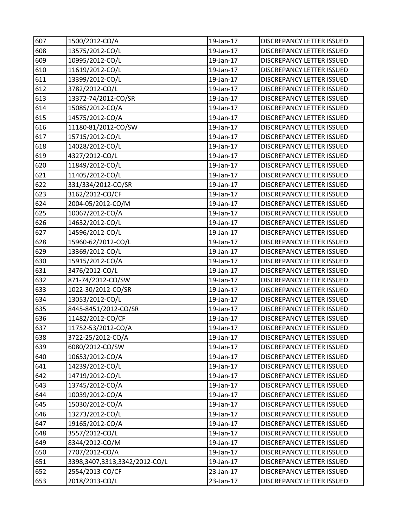| 607 | 1500/2012-CO/A                | 19-Jan-17 | DISCREPANCY LETTER ISSUED        |
|-----|-------------------------------|-----------|----------------------------------|
| 608 | 13575/2012-CO/L               | 19-Jan-17 | <b>DISCREPANCY LETTER ISSUED</b> |
| 609 | 10995/2012-CO/L               | 19-Jan-17 | DISCREPANCY LETTER ISSUED        |
| 610 | 11619/2012-CO/L               | 19-Jan-17 | DISCREPANCY LETTER ISSUED        |
| 611 | 13399/2012-CO/L               | 19-Jan-17 | DISCREPANCY LETTER ISSUED        |
| 612 | 3782/2012-CO/L                | 19-Jan-17 | DISCREPANCY LETTER ISSUED        |
| 613 | 13372-74/2012-CO/SR           | 19-Jan-17 | DISCREPANCY LETTER ISSUED        |
| 614 | 15085/2012-CO/A               | 19-Jan-17 | DISCREPANCY LETTER ISSUED        |
| 615 | 14575/2012-CO/A               | 19-Jan-17 | DISCREPANCY LETTER ISSUED        |
| 616 | 11180-81/2012-CO/SW           | 19-Jan-17 | <b>DISCREPANCY LETTER ISSUED</b> |
| 617 | 15715/2012-CO/L               | 19-Jan-17 | <b>DISCREPANCY LETTER ISSUED</b> |
| 618 | 14028/2012-CO/L               | 19-Jan-17 | DISCREPANCY LETTER ISSUED        |
| 619 | 4327/2012-CO/L                | 19-Jan-17 | DISCREPANCY LETTER ISSUED        |
| 620 | 11849/2012-CO/L               | 19-Jan-17 | DISCREPANCY LETTER ISSUED        |
| 621 | 11405/2012-CO/L               | 19-Jan-17 | DISCREPANCY LETTER ISSUED        |
| 622 | 331/334/2012-CO/SR            | 19-Jan-17 | <b>DISCREPANCY LETTER ISSUED</b> |
| 623 | 3162/2012-CO/CF               | 19-Jan-17 | DISCREPANCY LETTER ISSUED        |
| 624 | 2004-05/2012-CO/M             | 19-Jan-17 | DISCREPANCY LETTER ISSUED        |
| 625 | 10067/2012-CO/A               | 19-Jan-17 | DISCREPANCY LETTER ISSUED        |
| 626 | 14632/2012-CO/L               | 19-Jan-17 | <b>DISCREPANCY LETTER ISSUED</b> |
| 627 | 14596/2012-CO/L               | 19-Jan-17 | DISCREPANCY LETTER ISSUED        |
| 628 | 15960-62/2012-CO/L            | 19-Jan-17 | DISCREPANCY LETTER ISSUED        |
| 629 | 13369/2012-CO/L               | 19-Jan-17 | DISCREPANCY LETTER ISSUED        |
| 630 | 15915/2012-CO/A               | 19-Jan-17 | DISCREPANCY LETTER ISSUED        |
| 631 | 3476/2012-CO/L                | 19-Jan-17 | DISCREPANCY LETTER ISSUED        |
| 632 | 871-74/2012-CO/SW             | 19-Jan-17 | <b>DISCREPANCY LETTER ISSUED</b> |
| 633 | 1022-30/2012-CO/SR            | 19-Jan-17 | DISCREPANCY LETTER ISSUED        |
| 634 | 13053/2012-CO/L               | 19-Jan-17 | DISCREPANCY LETTER ISSUED        |
| 635 | 8445-8451/2012-CO/SR          | 19-Jan-17 | DISCREPANCY LETTER ISSUED        |
| 636 | 11482/2012-CO/CF              | 19-Jan-17 | DISCREPANCY LETTER ISSUED        |
| 637 | 11752-53/2012-CO/A            | 19-Jan-17 | DISCREPANCY LETTER ISSUED        |
| 638 | 3722-25/2012-CO/A             | 19-Jan-17 | DISCREPANCY LETTER ISSUED        |
| 639 | 6080/2012-CO/SW               | 19-Jan-17 | <b>DISCREPANCY LETTER ISSUED</b> |
| 640 | 10653/2012-CO/A               | 19-Jan-17 | DISCREPANCY LETTER ISSUED        |
| 641 | 14239/2012-CO/L               | 19-Jan-17 | DISCREPANCY LETTER ISSUED        |
| 642 | 14719/2012-CO/L               | 19-Jan-17 | DISCREPANCY LETTER ISSUED        |
| 643 | 13745/2012-CO/A               | 19-Jan-17 | DISCREPANCY LETTER ISSUED        |
| 644 | 10039/2012-CO/A               | 19-Jan-17 | <b>DISCREPANCY LETTER ISSUED</b> |
| 645 | 15030/2012-CO/A               | 19-Jan-17 | DISCREPANCY LETTER ISSUED        |
| 646 | 13273/2012-CO/L               | 19-Jan-17 | DISCREPANCY LETTER ISSUED        |
| 647 | 19165/2012-CO/A               | 19-Jan-17 | DISCREPANCY LETTER ISSUED        |
| 648 | 3557/2012-CO/L                | 19-Jan-17 | DISCREPANCY LETTER ISSUED        |
| 649 | 8344/2012-CO/M                | 19-Jan-17 | DISCREPANCY LETTER ISSUED        |
| 650 | 7707/2012-CO/A                | 19-Jan-17 | <b>DISCREPANCY LETTER ISSUED</b> |
| 651 | 3398,3407,3313,3342/2012-CO/L | 19-Jan-17 | DISCREPANCY LETTER ISSUED        |
| 652 | 2554/2013-CO/CF               | 23-Jan-17 | DISCREPANCY LETTER ISSUED        |
| 653 | 2018/2013-CO/L                | 23-Jan-17 | DISCREPANCY LETTER ISSUED        |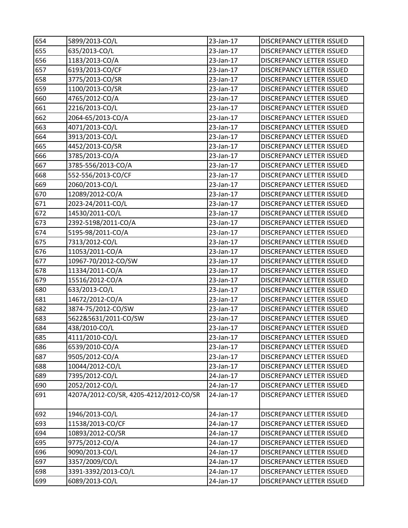| 654 | 5899/2013-CO/L                         | 23-Jan-17 | <b>DISCREPANCY LETTER ISSUED</b> |
|-----|----------------------------------------|-----------|----------------------------------|
| 655 | 635/2013-CO/L                          | 23-Jan-17 | DISCREPANCY LETTER ISSUED        |
| 656 | 1183/2013-CO/A                         | 23-Jan-17 | <b>DISCREPANCY LETTER ISSUED</b> |
| 657 | 6193/2013-CO/CF                        | 23-Jan-17 | DISCREPANCY LETTER ISSUED        |
| 658 | 3775/2013-CO/SR                        | 23-Jan-17 | <b>DISCREPANCY LETTER ISSUED</b> |
| 659 | 1100/2013-CO/SR                        | 23-Jan-17 | <b>DISCREPANCY LETTER ISSUED</b> |
| 660 | 4765/2012-CO/A                         | 23-Jan-17 | DISCREPANCY LETTER ISSUED        |
| 661 | 2216/2013-CO/L                         | 23-Jan-17 | <b>DISCREPANCY LETTER ISSUED</b> |
| 662 | 2064-65/2013-CO/A                      | 23-Jan-17 | DISCREPANCY LETTER ISSUED        |
| 663 | 4071/2013-CO/L                         | 23-Jan-17 | <b>DISCREPANCY LETTER ISSUED</b> |
| 664 | 3913/2013-CO/L                         | 23-Jan-17 | DISCREPANCY LETTER ISSUED        |
| 665 | 4452/2013-CO/SR                        | 23-Jan-17 | DISCREPANCY LETTER ISSUED        |
| 666 | 3785/2013-CO/A                         | 23-Jan-17 | DISCREPANCY LETTER ISSUED        |
| 667 | 3785-556/2013-CO/A                     | 23-Jan-17 | <b>DISCREPANCY LETTER ISSUED</b> |
| 668 | 552-556/2013-CO/CF                     | 23-Jan-17 | DISCREPANCY LETTER ISSUED        |
| 669 | 2060/2013-CO/L                         | 23-Jan-17 | DISCREPANCY LETTER ISSUED        |
| 670 | 12089/2012-CO/A                        | 23-Jan-17 | DISCREPANCY LETTER ISSUED        |
| 671 | 2023-24/2011-CO/L                      | 23-Jan-17 | DISCREPANCY LETTER ISSUED        |
| 672 | 14530/2011-CO/L                        | 23-Jan-17 | <b>DISCREPANCY LETTER ISSUED</b> |
| 673 | 2392-5198/2011-CO/A                    | 23-Jan-17 | DISCREPANCY LETTER ISSUED        |
| 674 | 5195-98/2011-CO/A                      | 23-Jan-17 | <b>DISCREPANCY LETTER ISSUED</b> |
| 675 | 7313/2012-CO/L                         | 23-Jan-17 | DISCREPANCY LETTER ISSUED        |
| 676 | 11053/2011-CO/A                        | 23-Jan-17 | <b>DISCREPANCY LETTER ISSUED</b> |
| 677 | 10967-70/2012-CO/SW                    | 23-Jan-17 | DISCREPANCY LETTER ISSUED        |
| 678 | 11334/2011-CO/A                        | 23-Jan-17 | DISCREPANCY LETTER ISSUED        |
| 679 | 15516/2012-CO/A                        | 23-Jan-17 | <b>DISCREPANCY LETTER ISSUED</b> |
| 680 | 633/2013-CO/L                          | 23-Jan-17 | DISCREPANCY LETTER ISSUED        |
| 681 | 14672/2012-CO/A                        | 23-Jan-17 | DISCREPANCY LETTER ISSUED        |
| 682 | 3874-75/2012-CO/SW                     | 23-Jan-17 | DISCREPANCY LETTER ISSUED        |
| 683 | 5622&5631/2011-CO/SW                   | 23-Jan-17 | <b>DISCREPANCY LETTER ISSUED</b> |
| 684 | 438/2010-CO/L                          | 23-Jan-17 | <b>DISCREPANCY LETTER ISSUED</b> |
| 685 | 4111/2010-CO/L                         | 23-Jan-17 | DISCREPANCY LETTER ISSUED        |
| 686 | 6539/2010-CO/A                         | 23-Jan-17 | <b>DISCREPANCY LETTER ISSUED</b> |
| 687 | 9505/2012-CO/A                         | 23-Jan-17 | DISCREPANCY LETTER ISSUED        |
| 688 | 10044/2012-CO/L                        | 23-Jan-17 | <b>DISCREPANCY LETTER ISSUED</b> |
| 689 | 7395/2012-CO/L                         | 24-Jan-17 | <b>DISCREPANCY LETTER ISSUED</b> |
| 690 | 2052/2012-CO/L                         | 24-Jan-17 | DISCREPANCY LETTER ISSUED        |
| 691 | 4207A/2012-CO/SR, 4205-4212/2012-CO/SR | 24-Jan-17 | <b>DISCREPANCY LETTER ISSUED</b> |
| 692 | 1946/2013-CO/L                         | 24-Jan-17 | DISCREPANCY LETTER ISSUED        |
| 693 | 11538/2013-CO/CF                       | 24-Jan-17 | DISCREPANCY LETTER ISSUED        |
| 694 | 10893/2012-CO/SR                       | 24-Jan-17 | DISCREPANCY LETTER ISSUED        |
| 695 | 9775/2012-CO/A                         | 24-Jan-17 | DISCREPANCY LETTER ISSUED        |
| 696 | 9090/2013-CO/L                         | 24-Jan-17 | <b>DISCREPANCY LETTER ISSUED</b> |
| 697 | 3357/2009/CO/L                         | 24-Jan-17 | DISCREPANCY LETTER ISSUED        |
| 698 | 3391-3392/2013-CO/L                    | 24-Jan-17 | DISCREPANCY LETTER ISSUED        |
| 699 | 6089/2013-CO/L                         | 24-Jan-17 | DISCREPANCY LETTER ISSUED        |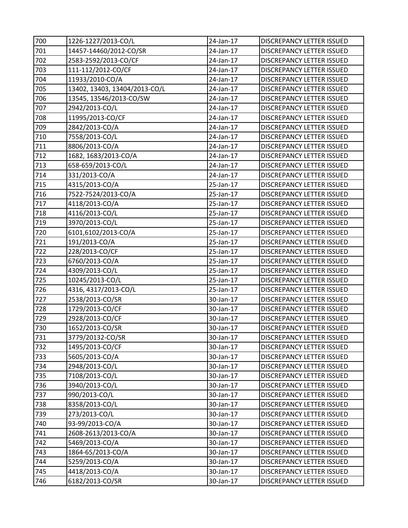| 700 | 1226-1227/2013-CO/L           | 24-Jan-17       | DISCREPANCY LETTER ISSUED        |
|-----|-------------------------------|-----------------|----------------------------------|
| 701 | 14457-14460/2012-CO/SR        | 24-Jan-17       | <b>DISCREPANCY LETTER ISSUED</b> |
| 702 | 2583-2592/2013-CO/CF          | 24-Jan-17       | DISCREPANCY LETTER ISSUED        |
| 703 | 111-112/2012-CO/CF            | 24-Jan-17       | DISCREPANCY LETTER ISSUED        |
| 704 | 11933/2010-CO/A               | 24-Jan-17       | DISCREPANCY LETTER ISSUED        |
| 705 | 13402, 13403, 13404/2013-CO/L | 24-Jan-17       | <b>DISCREPANCY LETTER ISSUED</b> |
| 706 | 13545, 13546/2013-CO/SW       | 24-Jan-17       | DISCREPANCY LETTER ISSUED        |
| 707 | 2942/2013-CO/L                | 24-Jan-17       | DISCREPANCY LETTER ISSUED        |
| 708 | 11995/2013-CO/CF              | 24-Jan-17       | DISCREPANCY LETTER ISSUED        |
| 709 | 2842/2013-CO/A                | 24-Jan-17       | DISCREPANCY LETTER ISSUED        |
| 710 | 7558/2013-CO/L                | 24-Jan-17       | <b>DISCREPANCY LETTER ISSUED</b> |
| 711 | 8806/2013-CO/A                | 24-Jan-17       | DISCREPANCY LETTER ISSUED        |
| 712 | 1682, 1683/2013-CO/A          | 24-Jan-17       | DISCREPANCY LETTER ISSUED        |
| 713 | 658-659/2013-CO/L             | 24-Jan-17       | DISCREPANCY LETTER ISSUED        |
| 714 | 331/2013-CO/A                 | 24-Jan-17       | DISCREPANCY LETTER ISSUED        |
| 715 | 4315/2013-CO/A                | 25-Jan-17       | <b>DISCREPANCY LETTER ISSUED</b> |
| 716 | 7522-7524/2013-CO/A           | 25-Jan-17       | DISCREPANCY LETTER ISSUED        |
| 717 | 4118/2013-CO/A                | 25-Jan-17       | DISCREPANCY LETTER ISSUED        |
| 718 | 4116/2013-CO/L                | 25-Jan-17       | DISCREPANCY LETTER ISSUED        |
| 719 | 3970/2013-CO/L                | 25-Jan-17       | DISCREPANCY LETTER ISSUED        |
| 720 | 6101,6102/2013-CO/A           | 25-Jan-17       | DISCREPANCY LETTER ISSUED        |
| 721 | 191/2013-CO/A                 | 25-Jan-17       | DISCREPANCY LETTER ISSUED        |
| 722 | 228/2013-CO/CF                | 25-Jan-17       | DISCREPANCY LETTER ISSUED        |
| 723 | 6760/2013-CO/A                | 25-Jan-17       | DISCREPANCY LETTER ISSUED        |
| 724 | 4309/2013-CO/L                | 25-Jan-17       | DISCREPANCY LETTER ISSUED        |
| 725 | 10245/2013-CO/L               | 25-Jan-17       | <b>DISCREPANCY LETTER ISSUED</b> |
| 726 | 4316, 4317/2013-CO/L          | 25-Jan-17       | <b>DISCREPANCY LETTER ISSUED</b> |
| 727 | 2538/2013-CO/SR               | 30-Jan-17       | DISCREPANCY LETTER ISSUED        |
| 728 | 1729/2013-CO/CF               | 30-Jan-17       | DISCREPANCY LETTER ISSUED        |
| 729 | 2928/2013-CO/CF               | 30-Jan-17       | DISCREPANCY LETTER ISSUED        |
| 730 | 1652/2013-CO/SR               | 30-Jan-17       | <b>DISCREPANCY LETTER ISSUED</b> |
| 731 | 3779/20132-CO/SR              | $30 - Jan - 17$ | <b>DISCREPANCY LETTER ISSUED</b> |
| 732 | 1495/2013-CO/CF               | 30-Jan-17       | DISCREPANCY LETTER ISSUED        |
| 733 | 5605/2013-CO/A                | 30-Jan-17       | DISCREPANCY LETTER ISSUED        |
| 734 | 2948/2013-CO/L                | 30-Jan-17       | <b>DISCREPANCY LETTER ISSUED</b> |
| 735 | 7108/2013-CO/L                | 30-Jan-17       | DISCREPANCY LETTER ISSUED        |
| 736 | 3940/2013-CO/L                | 30-Jan-17       | DISCREPANCY LETTER ISSUED        |
| 737 | 990/2013-CO/L                 | 30-Jan-17       | DISCREPANCY LETTER ISSUED        |
| 738 | 8358/2013-CO/L                | 30-Jan-17       | DISCREPANCY LETTER ISSUED        |
| 739 | 273/2013-CO/L                 | 30-Jan-17       | DISCREPANCY LETTER ISSUED        |
| 740 | 93-99/2013-CO/A               | 30-Jan-17       | DISCREPANCY LETTER ISSUED        |
| 741 | 2608-2613/2013-CO/A           | 30-Jan-17       | DISCREPANCY LETTER ISSUED        |
| 742 | 5469/2013-CO/A                | 30-Jan-17       | DISCREPANCY LETTER ISSUED        |
| 743 | 1864-65/2013-CO/A             | 30-Jan-17       | DISCREPANCY LETTER ISSUED        |
| 744 | 5259/2013-CO/A                | 30-Jan-17       | DISCREPANCY LETTER ISSUED        |
| 745 | 4418/2013-CO/A                | 30-Jan-17       | DISCREPANCY LETTER ISSUED        |
| 746 | 6182/2013-CO/SR               | 30-Jan-17       | DISCREPANCY LETTER ISSUED        |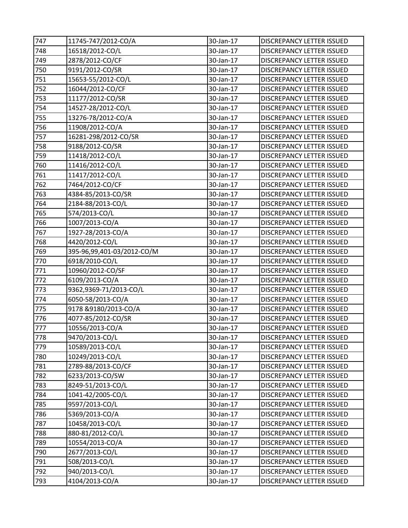| 747 | 11745-747/2012-CO/A        | 30-Jan-17       | DISCREPANCY LETTER ISSUED        |
|-----|----------------------------|-----------------|----------------------------------|
| 748 | 16518/2012-CO/L            | 30-Jan-17       | DISCREPANCY LETTER ISSUED        |
| 749 | 2878/2012-CO/CF            | 30-Jan-17       | DISCREPANCY LETTER ISSUED        |
| 750 | 9191/2012-CO/SR            | 30-Jan-17       | DISCREPANCY LETTER ISSUED        |
| 751 | 15653-55/2012-CO/L         | 30-Jan-17       | DISCREPANCY LETTER ISSUED        |
| 752 | 16044/2012-CO/CF           | 30-Jan-17       | DISCREPANCY LETTER ISSUED        |
| 753 | 11177/2012-CO/SR           | 30-Jan-17       | DISCREPANCY LETTER ISSUED        |
| 754 | 14527-28/2012-CO/L         | 30-Jan-17       | <b>DISCREPANCY LETTER ISSUED</b> |
| 755 | 13276-78/2012-CO/A         | 30-Jan-17       | DISCREPANCY LETTER ISSUED        |
| 756 | 11908/2012-CO/A            | 30-Jan-17       | DISCREPANCY LETTER ISSUED        |
| 757 | 16281-298/2012-CO/SR       | 30-Jan-17       | DISCREPANCY LETTER ISSUED        |
| 758 | 9188/2012-CO/SR            | 30-Jan-17       | DISCREPANCY LETTER ISSUED        |
| 759 | 11418/2012-CO/L            | 30-Jan-17       | DISCREPANCY LETTER ISSUED        |
| 760 | 11416/2012-CO/L            | 30-Jan-17       | DISCREPANCY LETTER ISSUED        |
| 761 | 11417/2012-CO/L            | 30-Jan-17       | DISCREPANCY LETTER ISSUED        |
| 762 | 7464/2012-CO/CF            | 30-Jan-17       | <b>DISCREPANCY LETTER ISSUED</b> |
| 763 | 4384-85/2013-CO/SR         | 30-Jan-17       | DISCREPANCY LETTER ISSUED        |
| 764 | 2184-88/2013-CO/L          | 30-Jan-17       | DISCREPANCY LETTER ISSUED        |
| 765 | 574/2013-CO/L              | 30-Jan-17       | DISCREPANCY LETTER ISSUED        |
| 766 | 1007/2013-CO/A             | 30-Jan-17       | <b>DISCREPANCY LETTER ISSUED</b> |
| 767 | 1927-28/2013-CO/A          | 30-Jan-17       | DISCREPANCY LETTER ISSUED        |
| 768 | 4420/2012-CO/L             | 30-Jan-17       | DISCREPANCY LETTER ISSUED        |
| 769 | 395-96,99,401-03/2012-CO/M | 30-Jan-17       | DISCREPANCY LETTER ISSUED        |
| 770 | 6918/2010-CO/L             | 30-Jan-17       | DISCREPANCY LETTER ISSUED        |
| 771 | 10960/2012-CO/SF           | 30-Jan-17       | DISCREPANCY LETTER ISSUED        |
| 772 | 6109/2013-CO/A             | 30-Jan-17       | DISCREPANCY LETTER ISSUED        |
| 773 | 9362,9369-71/2013-CO/L     | 30-Jan-17       | DISCREPANCY LETTER ISSUED        |
| 774 | 6050-58/2013-CO/A          | 30-Jan-17       | DISCREPANCY LETTER ISSUED        |
| 775 | 9178 & 9180/2013-CO/A      | 30-Jan-17       | DISCREPANCY LETTER ISSUED        |
| 776 | 4077-85/2012-CO/SR         | 30-Jan-17       | DISCREPANCY LETTER ISSUED        |
| 777 | 10556/2013-CO/A            | 30-Jan-17       | DISCREPANCY LETTER ISSUED        |
| 778 | 9470/2013-CO/L             | $30 - Jan - 17$ | DISCREPANCY LETTER ISSUED        |
| 779 | 10589/2013-CO/L            | 30-Jan-17       | DISCREPANCY LETTER ISSUED        |
| 780 | 10249/2013-CO/L            | 30-Jan-17       | DISCREPANCY LETTER ISSUED        |
| 781 | 2789-88/2013-CO/CF         | 30-Jan-17       | DISCREPANCY LETTER ISSUED        |
| 782 | 6233/2013-CO/SW            | 30-Jan-17       | DISCREPANCY LETTER ISSUED        |
| 783 | 8249-51/2013-CO/L          | 30-Jan-17       | DISCREPANCY LETTER ISSUED        |
| 784 | 1041-42/2005-CO/L          | 30-Jan-17       | <b>DISCREPANCY LETTER ISSUED</b> |
| 785 | 9597/2013-CO/L             | 30-Jan-17       | <b>DISCREPANCY LETTER ISSUED</b> |
| 786 | 5369/2013-CO/A             | 30-Jan-17       | DISCREPANCY LETTER ISSUED        |
| 787 | 10458/2013-CO/L            | 30-Jan-17       | DISCREPANCY LETTER ISSUED        |
| 788 | 880-81/2012-CO/L           | 30-Jan-17       | DISCREPANCY LETTER ISSUED        |
| 789 | 10554/2013-CO/A            | 30-Jan-17       | DISCREPANCY LETTER ISSUED        |
| 790 | 2677/2013-CO/L             | 30-Jan-17       | DISCREPANCY LETTER ISSUED        |
| 791 | 508/2013-CO/L              | 30-Jan-17       | DISCREPANCY LETTER ISSUED        |
| 792 | 940/2013-CO/L              | 30-Jan-17       | DISCREPANCY LETTER ISSUED        |
| 793 | 4104/2013-CO/A             | 30-Jan-17       | DISCREPANCY LETTER ISSUED        |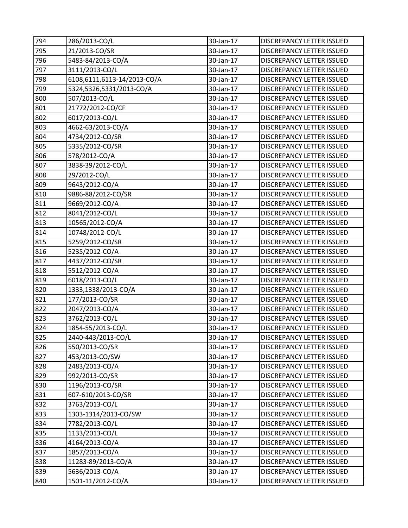| 794 | 286/2013-CO/L               | 30-Jan-17 | DISCREPANCY LETTER ISSUED        |
|-----|-----------------------------|-----------|----------------------------------|
| 795 | 21/2013-CO/SR               | 30-Jan-17 | <b>DISCREPANCY LETTER ISSUED</b> |
| 796 | 5483-84/2013-CO/A           | 30-Jan-17 | <b>DISCREPANCY LETTER ISSUED</b> |
| 797 | 3111/2013-CO/L              | 30-Jan-17 | DISCREPANCY LETTER ISSUED        |
| 798 | 6108,6111,6113-14/2013-CO/A | 30-Jan-17 | DISCREPANCY LETTER ISSUED        |
| 799 | 5324,5326,5331/2013-CO/A    | 30-Jan-17 | DISCREPANCY LETTER ISSUED        |
| 800 | 507/2013-CO/L               | 30-Jan-17 | DISCREPANCY LETTER ISSUED        |
| 801 | 21772/2012-CO/CF            | 30-Jan-17 | <b>DISCREPANCY LETTER ISSUED</b> |
| 802 | 6017/2013-CO/L              | 30-Jan-17 | DISCREPANCY LETTER ISSUED        |
| 803 | 4662-63/2013-CO/A           | 30-Jan-17 | DISCREPANCY LETTER ISSUED        |
| 804 | 4734/2012-CO/SR             | 30-Jan-17 | <b>DISCREPANCY LETTER ISSUED</b> |
| 805 | 5335/2012-CO/SR             | 30-Jan-17 | DISCREPANCY LETTER ISSUED        |
| 806 | 578/2012-CO/A               | 30-Jan-17 | DISCREPANCY LETTER ISSUED        |
| 807 | 3838-39/2012-CO/L           | 30-Jan-17 | DISCREPANCY LETTER ISSUED        |
| 808 | 29/2012-CO/L                | 30-Jan-17 | DISCREPANCY LETTER ISSUED        |
| 809 | 9643/2012-CO/A              | 30-Jan-17 | <b>DISCREPANCY LETTER ISSUED</b> |
| 810 | 9886-88/2012-CO/SR          | 30-Jan-17 | DISCREPANCY LETTER ISSUED        |
| 811 | 9669/2012-CO/A              | 30-Jan-17 | DISCREPANCY LETTER ISSUED        |
| 812 | 8041/2012-CO/L              | 30-Jan-17 | DISCREPANCY LETTER ISSUED        |
| 813 | 10565/2012-CO/A             | 30-Jan-17 | <b>DISCREPANCY LETTER ISSUED</b> |
| 814 | 10748/2012-CO/L             | 30-Jan-17 | <b>DISCREPANCY LETTER ISSUED</b> |
| 815 | 5259/2012-CO/SR             | 30-Jan-17 | DISCREPANCY LETTER ISSUED        |
| 816 | 5235/2012-CO/A              | 30-Jan-17 | DISCREPANCY LETTER ISSUED        |
| 817 | 4437/2012-CO/SR             | 30-Jan-17 | DISCREPANCY LETTER ISSUED        |
| 818 | 5512/2012-CO/A              | 30-Jan-17 | DISCREPANCY LETTER ISSUED        |
| 819 | 6018/2013-CO/L              | 30-Jan-17 | <b>DISCREPANCY LETTER ISSUED</b> |
| 820 | 1333,1338/2013-CO/A         | 30-Jan-17 | DISCREPANCY LETTER ISSUED        |
| 821 | 177/2013-CO/SR              | 30-Jan-17 | DISCREPANCY LETTER ISSUED        |
| 822 | 2047/2013-CO/A              | 30-Jan-17 | DISCREPANCY LETTER ISSUED        |
| 823 | 3762/2013-CO/L              | 30-Jan-17 | DISCREPANCY LETTER ISSUED        |
| 824 | 1854-55/2013-CO/L           | 30-Jan-17 | DISCREPANCY LETTER ISSUED        |
| 825 | 2440-443/2013-CO/L          | 30-Jan-17 | DISCREPANCY LETTER ISSUED        |
| 826 | 550/2013-CO/SR              | 30-Jan-17 | <b>DISCREPANCY LETTER ISSUED</b> |
| 827 | 453/2013-CO/SW              | 30-Jan-17 | DISCREPANCY LETTER ISSUED        |
| 828 | 2483/2013-CO/A              | 30-Jan-17 | DISCREPANCY LETTER ISSUED        |
| 829 | 992/2013-CO/SR              | 30-Jan-17 | DISCREPANCY LETTER ISSUED        |
| 830 | 1196/2013-CO/SR             | 30-Jan-17 | DISCREPANCY LETTER ISSUED        |
| 831 | 607-610/2013-CO/SR          | 30-Jan-17 | <b>DISCREPANCY LETTER ISSUED</b> |
| 832 | 3763/2013-CO/L              | 30-Jan-17 | <b>DISCREPANCY LETTER ISSUED</b> |
| 833 | 1303-1314/2013-CO/SW        | 30-Jan-17 | DISCREPANCY LETTER ISSUED        |
| 834 | 7782/2013-CO/L              | 30-Jan-17 | DISCREPANCY LETTER ISSUED        |
| 835 | 1133/2013-CO/L              | 30-Jan-17 | DISCREPANCY LETTER ISSUED        |
| 836 | 4164/2013-CO/A              | 30-Jan-17 | DISCREPANCY LETTER ISSUED        |
| 837 | 1857/2013-CO/A              | 30-Jan-17 | <b>DISCREPANCY LETTER ISSUED</b> |
| 838 | 11283-89/2013-CO/A          | 30-Jan-17 | DISCREPANCY LETTER ISSUED        |
| 839 | 5636/2013-CO/A              | 30-Jan-17 | DISCREPANCY LETTER ISSUED        |
| 840 | 1501-11/2012-CO/A           | 30-Jan-17 | DISCREPANCY LETTER ISSUED        |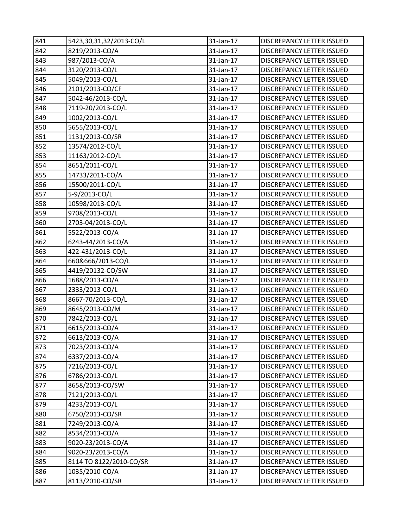| 841 | 5423,30,31,32/2013-CO/L | 31-Jan-17    | DISCREPANCY LETTER ISSUED        |
|-----|-------------------------|--------------|----------------------------------|
| 842 | 8219/2013-CO/A          | 31-Jan-17    | DISCREPANCY LETTER ISSUED        |
| 843 | 987/2013-CO/A           | 31-Jan-17    | DISCREPANCY LETTER ISSUED        |
| 844 | 3120/2013-CO/L          | 31-Jan-17    | DISCREPANCY LETTER ISSUED        |
| 845 | 5049/2013-CO/L          | 31-Jan-17    | DISCREPANCY LETTER ISSUED        |
| 846 | 2101/2013-CO/CF         | 31-Jan-17    | <b>DISCREPANCY LETTER ISSUED</b> |
| 847 | 5042-46/2013-CO/L       | 31-Jan-17    | DISCREPANCY LETTER ISSUED        |
| 848 | 7119-20/2013-CO/L       | 31-Jan-17    | DISCREPANCY LETTER ISSUED        |
| 849 | 1002/2013-CO/L          | 31-Jan-17    | DISCREPANCY LETTER ISSUED        |
| 850 | 5655/2013-CO/L          | 31-Jan-17    | DISCREPANCY LETTER ISSUED        |
| 851 | 1131/2013-CO/SR         | 31-Jan-17    | <b>DISCREPANCY LETTER ISSUED</b> |
| 852 | 13574/2012-CO/L         | 31-Jan-17    | DISCREPANCY LETTER ISSUED        |
| 853 | 11163/2012-CO/L         | 31-Jan-17    | DISCREPANCY LETTER ISSUED        |
| 854 | 8651/2011-CO/L          | 31-Jan-17    | DISCREPANCY LETTER ISSUED        |
| 855 | 14733/2011-CO/A         | 31-Jan-17    | DISCREPANCY LETTER ISSUED        |
| 856 | 15500/2011-CO/L         | 31-Jan-17    | DISCREPANCY LETTER ISSUED        |
| 857 | 5-9/2013-CO/L           | 31-Jan-17    | DISCREPANCY LETTER ISSUED        |
| 858 | 10598/2013-CO/L         | 31-Jan-17    | DISCREPANCY LETTER ISSUED        |
| 859 | 9708/2013-CO/L          | 31-Jan-17    | DISCREPANCY LETTER ISSUED        |
| 860 | 2703-04/2013-CO/L       | 31-Jan-17    | DISCREPANCY LETTER ISSUED        |
| 861 | 5522/2013-CO/A          | 31-Jan-17    | DISCREPANCY LETTER ISSUED        |
| 862 | 6243-44/2013-CO/A       | 31-Jan-17    | DISCREPANCY LETTER ISSUED        |
| 863 | 422-431/2013-CO/L       | $31$ -Jan-17 | DISCREPANCY LETTER ISSUED        |
| 864 | 660&666/2013-CO/L       | 31-Jan-17    | DISCREPANCY LETTER ISSUED        |
| 865 | 4419/20132-CO/SW        | 31-Jan-17    | DISCREPANCY LETTER ISSUED        |
| 866 | 1688/2013-CO/A          | 31-Jan-17    | <b>DISCREPANCY LETTER ISSUED</b> |
| 867 | 2333/2013-CO/L          | 31-Jan-17    | DISCREPANCY LETTER ISSUED        |
| 868 | 8667-70/2013-CO/L       | 31-Jan-17    | DISCREPANCY LETTER ISSUED        |
| 869 | 8645/2013-CO/M          | 31-Jan-17    | DISCREPANCY LETTER ISSUED        |
| 870 | 7842/2013-CO/L          | 31-Jan-17    | DISCREPANCY LETTER ISSUED        |
| 871 | 6615/2013-CO/A          | 31-Jan-17    | <b>DISCREPANCY LETTER ISSUED</b> |
| 872 | 6613/2013-CO/A          | 31-Jan-17    | DISCREPANCY LETTER ISSUED        |
| 873 | 7023/2013-CO/A          | 31-Jan-17    | <b>DISCREPANCY LETTER ISSUED</b> |
| 874 | 6337/2013-CO/A          | 31-Jan-17    | DISCREPANCY LETTER ISSUED        |
| 875 | 7216/2013-CO/L          | 31-Jan-17    | DISCREPANCY LETTER ISSUED        |
| 876 | 6786/2013-CO/L          | 31-Jan-17    | DISCREPANCY LETTER ISSUED        |
| 877 | 8658/2013-CO/SW         | 31-Jan-17    | DISCREPANCY LETTER ISSUED        |
| 878 | 7121/2013-CO/L          | 31-Jan-17    | <b>DISCREPANCY LETTER ISSUED</b> |
| 879 | 4233/2013-CO/L          | 31-Jan-17    | DISCREPANCY LETTER ISSUED        |
| 880 | 6750/2013-CO/SR         | 31-Jan-17    | DISCREPANCY LETTER ISSUED        |
| 881 | 7249/2013-CO/A          | 31-Jan-17    | DISCREPANCY LETTER ISSUED        |
| 882 | 8534/2013-CO/A          | 31-Jan-17    | DISCREPANCY LETTER ISSUED        |
| 883 | 9020-23/2013-CO/A       | 31-Jan-17    | DISCREPANCY LETTER ISSUED        |
| 884 | 9020-23/2013-CO/A       | 31-Jan-17    | <b>DISCREPANCY LETTER ISSUED</b> |
| 885 | 8114 TO 8122/2010-CO/SR | 31-Jan-17    | DISCREPANCY LETTER ISSUED        |
| 886 | 1035/2010-CO/A          | 31-Jan-17    | DISCREPANCY LETTER ISSUED        |
| 887 | 8113/2010-CO/SR         | 31-Jan-17    | DISCREPANCY LETTER ISSUED        |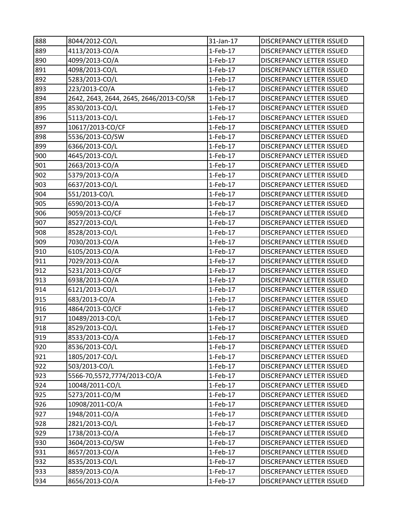| 888 | 8044/2012-CO/L                          | 31-Jan-17   | DISCREPANCY LETTER ISSUED        |
|-----|-----------------------------------------|-------------|----------------------------------|
| 889 | 4113/2013-CO/A                          | $1-Feb-17$  | <b>DISCREPANCY LETTER ISSUED</b> |
| 890 | 4099/2013-CO/A                          | $1-Feb-17$  | DISCREPANCY LETTER ISSUED        |
| 891 | 4098/2013-CO/L                          | 1-Feb-17    | DISCREPANCY LETTER ISSUED        |
| 892 | 5283/2013-CO/L                          | $1-Feb-17$  | DISCREPANCY LETTER ISSUED        |
| 893 | 223/2013-CO/A                           | $1-Feb-17$  | DISCREPANCY LETTER ISSUED        |
| 894 | 2642, 2643, 2644, 2645, 2646/2013-CO/SR | 1-Feb-17    | DISCREPANCY LETTER ISSUED        |
| 895 | 8530/2013-CO/L                          | 1-Feb-17    | DISCREPANCY LETTER ISSUED        |
| 896 | 5113/2013-CO/L                          | 1-Feb-17    | <b>DISCREPANCY LETTER ISSUED</b> |
| 897 | 10617/2013-CO/CF                        | $1-Feb-17$  | DISCREPANCY LETTER ISSUED        |
| 898 | 5536/2013-CO/SW                         | $1-Feb-17$  | DISCREPANCY LETTER ISSUED        |
| 899 | 6366/2013-CO/L                          | 1-Feb-17    | DISCREPANCY LETTER ISSUED        |
| 900 | 4645/2013-CO/L                          | 1-Feb-17    | DISCREPANCY LETTER ISSUED        |
| 901 | 2663/2013-CO/A                          | 1-Feb-17    | DISCREPANCY LETTER ISSUED        |
| 902 | 5379/2013-CO/A                          | 1-Feb-17    | DISCREPANCY LETTER ISSUED        |
| 903 | 6637/2013-CO/L                          | $1-Feb-17$  | <b>DISCREPANCY LETTER ISSUED</b> |
| 904 | 551/2013-CO/L                           | $1-Feb-17$  | <b>DISCREPANCY LETTER ISSUED</b> |
| 905 | 6590/2013-CO/A                          | $1-Feb-17$  | DISCREPANCY LETTER ISSUED        |
| 906 | 9059/2013-CO/CF                         | 1-Feb-17    | DISCREPANCY LETTER ISSUED        |
| 907 | 8527/2013-CO/L                          | $1-Feb-17$  | <b>DISCREPANCY LETTER ISSUED</b> |
| 908 | 8528/2013-CO/L                          | $1-Feb-17$  | <b>DISCREPANCY LETTER ISSUED</b> |
| 909 | 7030/2013-CO/A                          | 1-Feb-17    | DISCREPANCY LETTER ISSUED        |
| 910 | 6105/2013-CO/A                          | $1-Feb-17$  | DISCREPANCY LETTER ISSUED        |
| 911 | 7029/2013-CO/A                          | 1-Feb-17    | DISCREPANCY LETTER ISSUED        |
| 912 | 5231/2013-CO/CF                         | 1-Feb-17    | DISCREPANCY LETTER ISSUED        |
| 913 | 6938/2013-CO/A                          | $1-Feb-17$  | DISCREPANCY LETTER ISSUED        |
| 914 | 6121/2013-CO/L                          | $1-Feb-17$  | DISCREPANCY LETTER ISSUED        |
| 915 | 683/2013-CO/A                           | 1-Feb-17    | DISCREPANCY LETTER ISSUED        |
| 916 | 4864/2013-CO/CF                         | 1-Feb-17    | DISCREPANCY LETTER ISSUED        |
| 917 | 10489/2013-CO/L                         | 1-Feb-17    | DISCREPANCY LETTER ISSUED        |
| 918 | 8529/2013-CO/L                          | 1-Feb-17    | <b>DISCREPANCY LETTER ISSUED</b> |
| 919 | 8533/2013-CO/A                          | $1$ -Feb-17 | DISCREPANCY LETTER ISSUED        |
| 920 | 8536/2013-CO/L                          | 1-Feb-17    | DISCREPANCY LETTER ISSUED        |
| 921 | 1805/2017-CO/L                          | 1-Feb-17    | DISCREPANCY LETTER ISSUED        |
| 922 | 503/2013-CO/L                           | $1-Feb-17$  | <b>DISCREPANCY LETTER ISSUED</b> |
| 923 | 5566-70,5572,7774/2013-CO/A             | $1-Feb-17$  | DISCREPANCY LETTER ISSUED        |
| 924 | 10048/2011-CO/L                         | 1-Feb-17    | DISCREPANCY LETTER ISSUED        |
| 925 | 5273/2011-CO/M                          | $1-Feb-17$  | <b>DISCREPANCY LETTER ISSUED</b> |
| 926 | 10908/2011-CO/A                         | $1-Feb-17$  | <b>DISCREPANCY LETTER ISSUED</b> |
| 927 | 1948/2011-CO/A                          | $1-Feb-17$  | <b>DISCREPANCY LETTER ISSUED</b> |
| 928 | 2821/2013-CO/L                          | $1-Feb-17$  | DISCREPANCY LETTER ISSUED        |
| 929 | 1738/2013-CO/A                          | 1-Feb-17    | DISCREPANCY LETTER ISSUED        |
| 930 | 3604/2013-CO/SW                         | 1-Feb-17    | DISCREPANCY LETTER ISSUED        |
| 931 | 8657/2013-CO/A                          | $1-Feb-17$  | <b>DISCREPANCY LETTER ISSUED</b> |
| 932 | 8535/2013-CO/L                          | 1-Feb-17    | DISCREPANCY LETTER ISSUED        |
| 933 | 8859/2013-CO/A                          | $1-Feb-17$  | DISCREPANCY LETTER ISSUED        |
| 934 | 8656/2013-CO/A                          | 1-Feb-17    | DISCREPANCY LETTER ISSUED        |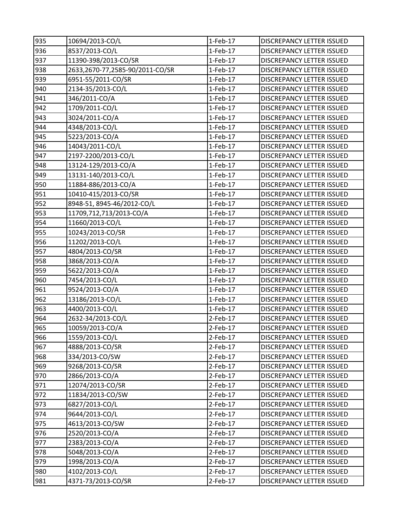| 935 | 10694/2013-CO/L                 | $1-Feb-17$  | DISCREPANCY LETTER ISSUED        |
|-----|---------------------------------|-------------|----------------------------------|
| 936 | 8537/2013-CO/L                  | $1-Feb-17$  | DISCREPANCY LETTER ISSUED        |
| 937 | 11390-398/2013-CO/SR            | $1-Feb-17$  | DISCREPANCY LETTER ISSUED        |
| 938 | 2633,2670-77,2585-90/2011-CO/SR | $1-Feb-17$  | DISCREPANCY LETTER ISSUED        |
| 939 | 6951-55/2011-CO/SR              | $1-Feb-17$  | DISCREPANCY LETTER ISSUED        |
| 940 | 2134-35/2013-CO/L               | $1-Feb-17$  | DISCREPANCY LETTER ISSUED        |
| 941 | 346/2011-CO/A                   | $1-Feb-17$  | DISCREPANCY LETTER ISSUED        |
| 942 | 1709/2011-CO/L                  | $1-Feb-17$  | DISCREPANCY LETTER ISSUED        |
| 943 | 3024/2011-CO/A                  | $1-Feb-17$  | DISCREPANCY LETTER ISSUED        |
| 944 | 4348/2013-CO/L                  | $1-Feb-17$  | DISCREPANCY LETTER ISSUED        |
| 945 | 5223/2013-CO/A                  | $1-Feb-17$  | DISCREPANCY LETTER ISSUED        |
| 946 | 14043/2011-CO/L                 | $1-Feb-17$  | DISCREPANCY LETTER ISSUED        |
| 947 | 2197-2200/2013-CO/L             | $1-Feb-17$  | DISCREPANCY LETTER ISSUED        |
| 948 | 13124-129/2013-CO/A             | $1-Feb-17$  | DISCREPANCY LETTER ISSUED        |
| 949 | 13131-140/2013-CO/L             | $1-Feb-17$  | DISCREPANCY LETTER ISSUED        |
| 950 | 11884-886/2013-CO/A             | $1-Feb-17$  | <b>DISCREPANCY LETTER ISSUED</b> |
| 951 | 10410-415/2013-CO/SR            | $1-Feb-17$  | DISCREPANCY LETTER ISSUED        |
| 952 | 8948-51, 8945-46/2012-CO/L      | $1-Feb-17$  | DISCREPANCY LETTER ISSUED        |
| 953 | 11709,712,713/2013-CO/A         | $1-Feb-17$  | DISCREPANCY LETTER ISSUED        |
| 954 | 11660/2013-CO/L                 | $1-Feb-17$  | DISCREPANCY LETTER ISSUED        |
| 955 | 10243/2013-CO/SR                | $1-Feb-17$  | <b>DISCREPANCY LETTER ISSUED</b> |
| 956 | 11202/2013-CO/L                 | $1-Feb-17$  | DISCREPANCY LETTER ISSUED        |
| 957 | 4804/2013-CO/SR                 | $1-Feb-17$  | DISCREPANCY LETTER ISSUED        |
| 958 | 3868/2013-CO/A                  | $1-Feb-17$  | DISCREPANCY LETTER ISSUED        |
| 959 | 5622/2013-CO/A                  | $1-Feb-17$  | DISCREPANCY LETTER ISSUED        |
| 960 | 7454/2013-CO/L                  | $1-Feb-17$  | DISCREPANCY LETTER ISSUED        |
| 961 | 9524/2013-CO/A                  | $1-Feb-17$  | DISCREPANCY LETTER ISSUED        |
| 962 | 13186/2013-CO/L                 | 1-Feb-17    | DISCREPANCY LETTER ISSUED        |
| 963 | 4400/2013-CO/L                  | $1-Feb-17$  | DISCREPANCY LETTER ISSUED        |
| 964 | 2632-34/2013-CO/L               | $2-Feb-17$  | DISCREPANCY LETTER ISSUED        |
| 965 | 10059/2013-CO/A                 | $2$ -Feb-17 | <b>DISCREPANCY LETTER ISSUED</b> |
| 966 | 1559/2013-CO/L                  | $2$ -Feb-17 | DISCREPANCY LETTER ISSUED        |
| 967 | 4888/2013-CO/SR                 | 2-Feb-17    | DISCREPANCY LETTER ISSUED        |
| 968 | 334/2013-CO/SW                  | $2-Feb-17$  | DISCREPANCY LETTER ISSUED        |
| 969 | 9268/2013-CO/SR                 | 2-Feb-17    | DISCREPANCY LETTER ISSUED        |
| 970 | 2866/2013-CO/A                  | 2-Feb-17    | DISCREPANCY LETTER ISSUED        |
| 971 | 12074/2013-CO/SR                | 2-Feb-17    | DISCREPANCY LETTER ISSUED        |
| 972 | 11834/2013-CO/SW                | $2$ -Feb-17 | DISCREPANCY LETTER ISSUED        |
| 973 | 6827/2013-CO/L                  | $2$ -Feb-17 | DISCREPANCY LETTER ISSUED        |
| 974 | 9644/2013-CO/L                  | 2-Feb-17    | DISCREPANCY LETTER ISSUED        |
| 975 | 4613/2013-CO/SW                 | 2-Feb-17    | DISCREPANCY LETTER ISSUED        |
| 976 | 2520/2013-CO/A                  | 2-Feb-17    | DISCREPANCY LETTER ISSUED        |
| 977 | 2383/2013-CO/A                  | $2-Feb-17$  | DISCREPANCY LETTER ISSUED        |
| 978 | 5048/2013-CO/A                  | $2$ -Feb-17 | DISCREPANCY LETTER ISSUED        |
| 979 | 1998/2013-CO/A                  | $2-Feb-17$  | DISCREPANCY LETTER ISSUED        |
| 980 | 4102/2013-CO/L                  | $2-Feb-17$  | DISCREPANCY LETTER ISSUED        |
| 981 | 4371-73/2013-CO/SR              | 2-Feb-17    | DISCREPANCY LETTER ISSUED        |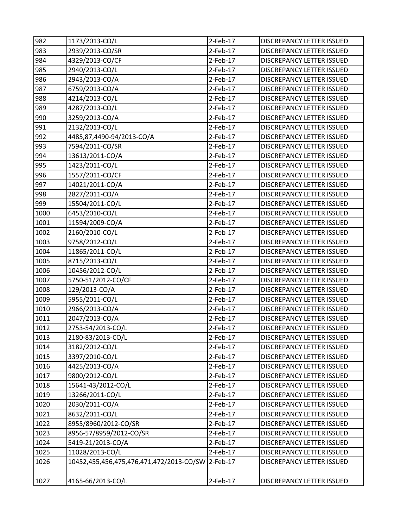| 982  | 1173/2013-CO/L                           | $2-Feb-17$  | DISCREPANCY LETTER ISSUED        |
|------|------------------------------------------|-------------|----------------------------------|
| 983  | 2939/2013-CO/SR                          | 2-Feb-17    | <b>DISCREPANCY LETTER ISSUED</b> |
| 984  | 4329/2013-CO/CF                          | 2-Feb-17    | DISCREPANCY LETTER ISSUED        |
| 985  | 2940/2013-CO/L                           | 2-Feb-17    | DISCREPANCY LETTER ISSUED        |
| 986  | 2943/2013-CO/A                           | $2-Feb-17$  | DISCREPANCY LETTER ISSUED        |
| 987  | 6759/2013-CO/A                           | $2-Feb-17$  | DISCREPANCY LETTER ISSUED        |
| 988  | 4214/2013-CO/L                           | 2-Feb-17    | DISCREPANCY LETTER ISSUED        |
| 989  | 4287/2013-CO/L                           | $2-Feb-17$  | DISCREPANCY LETTER ISSUED        |
| 990  | 3259/2013-CO/A                           | 2-Feb-17    | DISCREPANCY LETTER ISSUED        |
| 991  | 2132/2013-CO/L                           | $2-Feb-17$  | DISCREPANCY LETTER ISSUED        |
| 992  | 4485,87,4490-94/2013-CO/A                | 2-Feb-17    | DISCREPANCY LETTER ISSUED        |
| 993  | 7594/2011-CO/SR                          | 2-Feb-17    | DISCREPANCY LETTER ISSUED        |
| 994  | 13613/2011-CO/A                          | 2-Feb-17    | DISCREPANCY LETTER ISSUED        |
| 995  | 1423/2011-CO/L                           | $2$ -Feb-17 | <b>DISCREPANCY LETTER ISSUED</b> |
| 996  | 1557/2011-CO/CF                          | $2-Feb-17$  | DISCREPANCY LETTER ISSUED        |
| 997  | 14021/2011-CO/A                          | $2-Feb-17$  | DISCREPANCY LETTER ISSUED        |
| 998  | 2827/2011-CO/A                           | 2-Feb-17    | DISCREPANCY LETTER ISSUED        |
| 999  | 15504/2011-CO/L                          | $2-Feb-17$  | DISCREPANCY LETTER ISSUED        |
| 1000 | 6453/2010-CO/L                           | $2$ -Feb-17 | <b>DISCREPANCY LETTER ISSUED</b> |
| 1001 | 11594/2009-CO/A                          | 2-Feb-17    | DISCREPANCY LETTER ISSUED        |
| 1002 | 2160/2010-CO/L                           | $2-Feb-17$  | DISCREPANCY LETTER ISSUED        |
| 1003 | 9758/2012-CO/L                           | 2-Feb-17    | DISCREPANCY LETTER ISSUED        |
| 1004 | 11865/2011-CO/L                          | $2$ -Feb-17 | <b>DISCREPANCY LETTER ISSUED</b> |
| 1005 | 8715/2013-CO/L                           | $2-Feb-17$  | DISCREPANCY LETTER ISSUED        |
| 1006 | 10456/2012-CO/L                          | 2-Feb-17    | DISCREPANCY LETTER ISSUED        |
| 1007 | 5750-51/2012-CO/CF                       | $2-Feb-17$  | <b>DISCREPANCY LETTER ISSUED</b> |
| 1008 | 129/2013-CO/A                            | 2-Feb-17    | DISCREPANCY LETTER ISSUED        |
| 1009 | 5955/2011-CO/L                           | $2-Feb-17$  | <b>DISCREPANCY LETTER ISSUED</b> |
| 1010 | 2966/2013-CO/A                           | $2-Feb-17$  | DISCREPANCY LETTER ISSUED        |
| 1011 | 2047/2013-CO/A                           | $2-Feb-17$  | <b>DISCREPANCY LETTER ISSUED</b> |
| 1012 | 2753-54/2013-CO/L                        | $2$ -Feb-17 | <b>DISCREPANCY LETTER ISSUED</b> |
| 1013 | 2180-83/2013-CO/L                        | 2-Feb-17    | DISCREPANCY LETTER ISSUED        |
| 1014 | 3182/2012-CO/L                           | $2-Feb-17$  | <b>DISCREPANCY LETTER ISSUED</b> |
| 1015 | 3397/2010-CO/L                           | $2-Feb-17$  | DISCREPANCY LETTER ISSUED        |
| 1016 | 4425/2013-CO/A                           | $2-Feb-17$  | DISCREPANCY LETTER ISSUED        |
| 1017 | 9800/2012-CO/L                           | 2-Feb-17    | DISCREPANCY LETTER ISSUED        |
| 1018 | 15641-43/2012-CO/L                       | $2-Feb-17$  | DISCREPANCY LETTER ISSUED        |
| 1019 | 13266/2011-CO/L                          | $2-Feb-17$  | DISCREPANCY LETTER ISSUED        |
| 1020 | 2030/2011-CO/A                           | 2-Feb-17    | DISCREPANCY LETTER ISSUED        |
| 1021 | 8632/2011-CO/L                           | $2$ -Feb-17 | DISCREPANCY LETTER ISSUED        |
| 1022 | 8955/8960/2012-CO/SR                     | $2-Feb-17$  | DISCREPANCY LETTER ISSUED        |
| 1023 | 8956-57/8959/2012-CO/SR                  | $2-Feb-17$  | DISCREPANCY LETTER ISSUED        |
| 1024 | 5419-21/2013-CO/A                        | 2-Feb-17    | DISCREPANCY LETTER ISSUED        |
| 1025 | 11028/2013-CO/L                          | $2-Feb-17$  | DISCREPANCY LETTER ISSUED        |
| 1026 | 10452,455,456,475,476,471,472/2013-CO/SW | $2$ -Feb-17 | DISCREPANCY LETTER ISSUED        |
| 1027 | 4165-66/2013-CO/L                        | 2-Feb-17    | DISCREPANCY LETTER ISSUED        |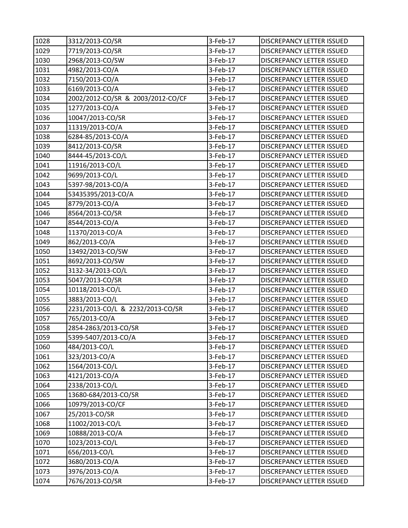| 1028 | 3312/2013-CO/SR                   | 3-Feb-17 | DISCREPANCY LETTER ISSUED        |
|------|-----------------------------------|----------|----------------------------------|
| 1029 | 7719/2013-CO/SR                   | 3-Feb-17 | DISCREPANCY LETTER ISSUED        |
| 1030 | 2968/2013-CO/SW                   | 3-Feb-17 | DISCREPANCY LETTER ISSUED        |
| 1031 | 4982/2013-CO/A                    | 3-Feb-17 | DISCREPANCY LETTER ISSUED        |
| 1032 | 7150/2013-CO/A                    | 3-Feb-17 | <b>DISCREPANCY LETTER ISSUED</b> |
| 1033 | 6169/2013-CO/A                    | 3-Feb-17 | DISCREPANCY LETTER ISSUED        |
| 1034 | 2002/2012-CO/SR & 2003/2012-CO/CF | 3-Feb-17 | DISCREPANCY LETTER ISSUED        |
| 1035 | 1277/2013-CO/A                    | 3-Feb-17 | <b>DISCREPANCY LETTER ISSUED</b> |
| 1036 | 10047/2013-CO/SR                  | 3-Feb-17 | DISCREPANCY LETTER ISSUED        |
| 1037 | 11319/2013-CO/A                   | 3-Feb-17 | DISCREPANCY LETTER ISSUED        |
| 1038 | 6284-85/2013-CO/A                 | 3-Feb-17 | DISCREPANCY LETTER ISSUED        |
| 1039 | 8412/2013-CO/SR                   | 3-Feb-17 | DISCREPANCY LETTER ISSUED        |
| 1040 | 8444-45/2013-CO/L                 | 3-Feb-17 | DISCREPANCY LETTER ISSUED        |
| 1041 | 11916/2013-CO/L                   | 3-Feb-17 | <b>DISCREPANCY LETTER ISSUED</b> |
| 1042 | 9699/2013-CO/L                    | 3-Feb-17 | <b>DISCREPANCY LETTER ISSUED</b> |
| 1043 | 5397-98/2013-CO/A                 | 3-Feb-17 | <b>DISCREPANCY LETTER ISSUED</b> |
| 1044 | 53435395/2013-CO/A                | 3-Feb-17 | DISCREPANCY LETTER ISSUED        |
| 1045 | 8779/2013-CO/A                    | 3-Feb-17 | DISCREPANCY LETTER ISSUED        |
| 1046 | 8564/2013-CO/SR                   | 3-Feb-17 | DISCREPANCY LETTER ISSUED        |
| 1047 | 8544/2013-CO/A                    | 3-Feb-17 | DISCREPANCY LETTER ISSUED        |
| 1048 | 11370/2013-CO/A                   | 3-Feb-17 | <b>DISCREPANCY LETTER ISSUED</b> |
| 1049 | 862/2013-CO/A                     | 3-Feb-17 | DISCREPANCY LETTER ISSUED        |
| 1050 | 13492/2013-CO/SW                  | 3-Feb-17 | <b>DISCREPANCY LETTER ISSUED</b> |
| 1051 | 8692/2013-CO/SW                   | 3-Feb-17 | DISCREPANCY LETTER ISSUED        |
| 1052 | 3132-34/2013-CO/L                 | 3-Feb-17 | DISCREPANCY LETTER ISSUED        |
| 1053 | 5047/2013-CO/SR                   | 3-Feb-17 | DISCREPANCY LETTER ISSUED        |
| 1054 | 10118/2013-CO/L                   | 3-Feb-17 | DISCREPANCY LETTER ISSUED        |
| 1055 | 3883/2013-CO/L                    | 3-Feb-17 | DISCREPANCY LETTER ISSUED        |
| 1056 | 2231/2013-CO/L & 2232/2013-CO/SR  | 3-Feb-17 | DISCREPANCY LETTER ISSUED        |
| 1057 | 765/2013-CO/A                     | 3-Feb-17 | <b>DISCREPANCY LETTER ISSUED</b> |
| 1058 | 2854-2863/2013-CO/SR              | 3-Feb-17 | <b>DISCREPANCY LETTER ISSUED</b> |
| 1059 | 5399-5407/2013-CO/A               | 3-Feb-17 | DISCREPANCY LETTER ISSUED        |
| 1060 | 484/2013-CO/L                     | 3-Feb-17 | DISCREPANCY LETTER ISSUED        |
| 1061 | 323/2013-CO/A                     | 3-Feb-17 | DISCREPANCY LETTER ISSUED        |
| 1062 | 1564/2013-CO/L                    | 3-Feb-17 | DISCREPANCY LETTER ISSUED        |
| 1063 | 4121/2013-CO/A                    | 3-Feb-17 | DISCREPANCY LETTER ISSUED        |
| 1064 | 2338/2013-CO/L                    | 3-Feb-17 | DISCREPANCY LETTER ISSUED        |
| 1065 | 13680-684/2013-CO/SR              | 3-Feb-17 | DISCREPANCY LETTER ISSUED        |
| 1066 | 10979/2013-CO/CF                  | 3-Feb-17 | DISCREPANCY LETTER ISSUED        |
| 1067 | 25/2013-CO/SR                     | 3-Feb-17 | DISCREPANCY LETTER ISSUED        |
| 1068 | 11002/2013-CO/L                   | 3-Feb-17 | DISCREPANCY LETTER ISSUED        |
| 1069 | 10888/2013-CO/A                   | 3-Feb-17 | DISCREPANCY LETTER ISSUED        |
| 1070 | 1023/2013-CO/L                    | 3-Feb-17 | <b>DISCREPANCY LETTER ISSUED</b> |
| 1071 | 656/2013-CO/L                     | 3-Feb-17 | DISCREPANCY LETTER ISSUED        |
| 1072 | 3680/2013-CO/A                    | 3-Feb-17 | DISCREPANCY LETTER ISSUED        |
| 1073 | 3976/2013-CO/A                    | 3-Feb-17 | DISCREPANCY LETTER ISSUED        |
| 1074 | 7676/2013-CO/SR                   | 3-Feb-17 | DISCREPANCY LETTER ISSUED        |